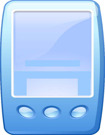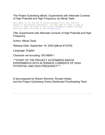The Project Gutenberg eBook, Experiments with Alternate Currents of High Potential and High Frequency, by Nikola Tesla

This eBook is for the use of anyone anywhere at no cost and with almost no restrictions whatsoever. You may copy it, give it away or re-use it under the terms of the Project Gutenberg License included with this eBook or online at [www.gutenberg.net](http://www.gutenberg.net/)

Title: Experiments with Alternate Currents of High Potential and High **Frequency** 

Author: Nikola Tesla

Release Date: September 16, 2004 [eBook #13476]

Language: English

Character set encoding: ISO-8859-1

\*\*\*START OF THE PROJECT GUTENBERG EBOOK EXPERIMENTS WITH ALTERNATE CURRENTS OF HIGH POTENTIAL AND HIGH FREQUENCY\*\*\*

E-text prepared by Robert Shimmin, Ronald Holder, and the Project Gutenberg Online Distributed Proofreading Team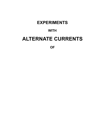### **EXPERIMENTS**

### **WITH**

## **ALTERNATE CURRENTS**

**OF**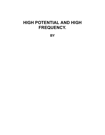### **HIGH POTENTIAL AND HIGH FREQUENCY.**

**BY**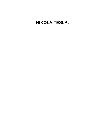## **NIKOLA TESLA.**

 $\overline{a}$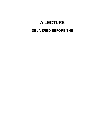# **A LECTURE**

### **DELIVERED BEFORE THE**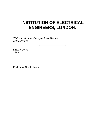### **INSTITUTION OF ELECTRICAL ENGINEERS, LONDON.**

**With a Portrait and Biographical Sketch** *of the Author*.

NEW YORK: 1892

Portrait of Nikola Tesla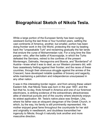### **Biographical Sketch of Nikola Tesla.**

While a large portion of the European family has been surging westward during the last three or four hundred years, settling the vast continents of America, another, but smaller, portion has been doing frontier work in the Old World, protecting the rear by beating back the "unspeakable Turk" and reclaiming gradually the fair lands that endure the curse of Mohammedan rule. For a long time the Slav people—who, after the battle of Kosovopjolje, in which the Turks defeated the Servians, retired to the confines of the present Montenegro, Dalmatia, Herzegovina and Bosnia, and "Borderland" of Austria—knew what it was to deal, as our Western pioneers did, with foes ceaselessly fretting against their frontier; and the races of these countries, through their strenuous struggle against the armies of the Crescent, have developed notable qualities of bravery and sagacity, while maintaining a patriotism and independence unsurpassed in any other nation.

It was in this interesting border region, and from among these valiant Eastern folk, that Nikola Tesla was born in the year 1857, and the fact that he, to-day, finds himself in America and one of our foremost electricians, is striking evidence of the extraordinary attractiveness alike of electrical pursuits and of the country where electricity enjoys its widest application. Mr. Tesla's native place was Smiljan, Lika, where his father was an eloquent clergyman of the Greek Church, in which, by the way, his family is still prominently represented. His mother enjoyed great fame throughout the countrysde for her skll and originality in needlework, and doubtless transmitted her ingenuity to Nikola; though it naturally took another and more masculine direction.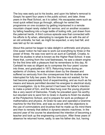The boy was early put to his books, and upon his father's removal to Gospic he spent four years in the public school, and later, three years in the Real School, as it is called. His escapades were such as most quick witted boys go through, although he varied the programme on one occasion by getting imprisoned in a remote mountain chapel rarely visited for service; and on another occasion by falling headlong into a huge kettle of boiling milk, just drawn from the paternal herds. A third curious episode was that connected with his efforts to fly when, attempting to navigate the air with the aid of an old umbrella, he had, as might be expected, a very bad fall, and was laid up for six weeks.

About this period he began to take delight in arithmetic and physics. One queer notion he had was to work out everything by three or the power of three. He was now sent to an aunt at Cartstatt, Croata, to finish his studies in what is known as the Higher Real School. It was there that, coming from the rural fastnesses, he saw a steam engine for the first time with a pleasure that he remembers to this day. At Cartstatt he was so diligent as to compress the four years' course into three, and graduated in 1873. Returning home during an epidemic of cholera, he was stricken down by the disease and suffered so seriously from the consequences that his studies were interrupted for fully two years. But the time was not wasted, for he had become passionately fond of experimenting, and as much as his means and leisure permitted devoted his energies to electrical study and investigation. Up to this period it had been his father's intention to make a priest of him, and the idea hung over the young physicist like a very sword of Damocles. Finally he prevailed upon his worthy but reluctant sire to send him to Gratz in Austria to finish his studies at the Polytechnic School, and to prepare for work as professor of mathematics and physics. At Gratz he saw and operated a Gramme machine for the first time, and was so struck with the objections to the use of commutators and brushes that he made up his mind there and then to remedy that defect in dynamo-electric machines. In the second year of his course he abandoned the intention of becoming a teacher and took up the engineering curriculum. After three years of absence he returned home, sadly, to see his father die; but, having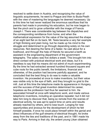resolved to settle down in Austria, and recognizing the value of linguistic acquirements, he went to Prague and then to Buda-Pesth with the view of mastering the languages he deemed necessary. Up to this time he had never realized the enormous sacrifices that his parents had made in promoting his education, but he now began to feel the pinch and to grow unfamiliar with the image of Francis Joseph I. There was considerable lag between his dispatches and the corresponding remittance from home; and when the mathematical expression for the value of the lag assumed the shape of an eight laid flat on its back, Mr. Tesla became a very fair example of high thinking and plain living, but he made up his mind to the struggle and determined to go through depending solely on his own resources. Not desiring the fame of a faster, he cast about for a livelihood, and through the help of friends he secured a berth as assistant in the engineering department of the government telegraphs. The salary was five dollars a week. This brought him into direct contact with practical electrical work and ideas, but it is needless to say that his means did not admit of much experimenting. By the time he had extracted several hundred thousand square and cube roots for the public benefit, the limitations, financial and otherwise, of the position had become painfully apparent, and he concluded that the best thing to do was to make a valuable invention. He proceeded at once to make inventions, but their value was visible only to the eye of faith, and they brought no grist to the mill. Just at this time the telephone made its appearance in Hungary, and the success of that great invention determined his career, hopeless as the profession had thus far seemed to him. He associated himself at once with telephonic work, and made various telephonic inventions, including an operative repeater; but it did not take him long to discover that, being so remote from the scenes of electrical activity, he was apt to spend time on aims and results already reached by others, and to lose touch. Longing for new opportunities and anxious for the development of which he felt himself possible, if once he could place himself within the genial and direct influences of the gulf streams of electrical thought, he broke away from the ties and traditions of the past, and in 1881 made his way to Paris. Arriving in that city, the ardent young Likan obtained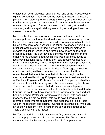employment as an electrical engineer with one of the largest electric lighting companies. The next year he went to Strasburg to install a plant, and on returning to Paris sought to carry out a number of ideas that had now ripened into inventions. About this time, however, the remarkable progress of America in electrical industry attracted his attention, and once again staking everything on a single throw, he crossed the Atlantic.

Mr. Tesla buckled down to work as soon as he landed on these shores, put his best thought and skill into it, and soon saw openings for his talent. In a short while a proposition was made to him to start his own company, and, accepting the terms, he at once worked up a practical system of arc lighting, as well as a potential method of dynamo regulation, which in one form is now known as the "third" brush regulation." He also devised a thermo-magnetic motor and other kindred devices, about which little was published, owing to legal complications. Early in 1887 the Tesla Electric Company of New York was formed, and not long after that Mr. Tesla produced his admirable and epoch-marking motors for multiphase alternating currents, in which, going back to his ideas of long ago, he evolved machines having neither commutator nor brushes. It will be remembered that about the time that Mr. Tesla brought out his motors, and read his thoughtful paper before the American Institute of Electrical Engineers, Professor Ferraris, in Europe, published his discovery of principles analogous to those enunciated by Mr. Tesla. There is no doubt, however, that Mr. Tesla was an independent inventor of this rotary field motor, for although anticipated in dates by Ferraris, he could not have known about Ferraris' work as it had not been published. Professor Ferraris stated himself, with becoming modesty, that he did not think Tesla could have known of his (Ferraris') experiments at that time, and adds that he thinks Tesla was an independent and original inventor of this principle. With such an acknowledgment from Ferraris there can be little doubt about Tesla's originality in this matter.

Mr. Tesla's work in this field was wonderfully timely, and its worth was promptly appreciated in various quarters. The Tesla patents were acquired by the Westinghouse Electric Company, who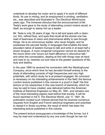undertook to develop his motor and to apply it to work of different kinds. Its use in mining, and its employment in printing, ventilation, etc., was described and illustrated in The Electrical World some years ago. The immense stimulus that the announcement of Mr. Tesla's work gave to the study of alternating current motors would, in itself, be enough to stamp him as a leader.

Mr. Tesla is only 35 years of age. He is tall and spare with a cleancut, thin, refined face, and eyes that recall all the stories one has read of keenness of vision and phenomenal ability to see through things. He is an omnivorous reader, who never forgets; and he possesses the peculiar facility in languages that enables the least educated native of eastern Europe to talk and write in at least half a dozen tongues. A more congenial companion cannot be desired for the hours when one "pours out heart affluence in discursive talk," and when the conversation, dealing at first with things near at hand and next to us, reaches out and rises to the greater questions of life, duty and destiny.

In the year 1890 he severed his connection with the Westinghouse Company, since which time he has devoted himself entirely to the study of alternating currents of high frequencies and very high potentials, with which study he is at present engaged. No comment is necessary on his interesting achievements in this field; the famous London lecture published in this volume is a proof in itself. His first lecture on his researches in this new branch of electricity, which he may be said to have created, was delivered before the American Institute of Electrical Engineers on May 20, 1891, and remains one of the most interesting papers read before that society. It will be found reprinted in full in *The Electrical World*, July 11, 1891. Its publication excited such interest abroad that he received numerous requests from English and French electrical engineers and scientists to repeat it in those countries, the result of which has been the interesting lecture published in this volume.

The present lecture presupposes a knowledge of the former, but it may be read and understood by any one even though he has not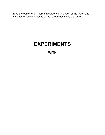read the earlier one. It forms a sort of continuation of the latter, and includes chiefly the results of his researches since that time.

# **EXPERIMENTS**

**WITH**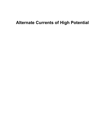## **Alternate Currents of High Potential**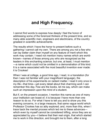### **and Hgh Frequency.**

I cannot find words to express how deeply I feel the honor of addressing some of the foremost thinkers of the present time, and so many able scientific men, engineers and electricians, of the country greatest in scientific achievements.

The results which I have the honor to present before such a gathering I cannot call my own. There are among you not a few who can lay better claim than myself on any feature of merit which this work may contain. I need not mention many names which are worldknown—names of those among you who are recognized as the leaders in this enchanting science; but one, at least, I must mention —a name which could not be omitted in a demonstration of this kind. It is a name associated with the most beautiful invention ever made: it is Crookes!

When I was at college, a good time ago, I read, in a translation (for then I was not familiar with your magnificent language), the description of his experiments on radiant matter. I read it only once in my life—that time—yet every detail about that charming work I can remember this day. Few are the books, let me say, which can make such an impression upon the mind of a student.

But if, on the present occasion, I mention this name as one of many your institution can boast of, it is because I have more than one reason to do so. For what I have to tell you and to show you this evening concerns, in a large measure, that same vague world which Professor Crookes has so ably explored; and, more than this, when I trace back the mental process which led me to these advances which even by myself cannot be considered trifling, since they are so appreciated by you—I believe that their real origin, that which started me to work in this direction, and brought me to them, after a long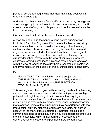period of constant thought, was that fascinating little book which I read many years ago.

And now that I have made a feeble effort to express my homage and acknowledge my indebtedness to him and others among you, I will make a second effort, which I hope you will not find so feeble as the first, to entertain you.

Give me leave to introduce the subject in a few words.

<span id="page-15-1"></span>A short time ago I had the honor to bring before our American Institute of Electrical Engineers <sup>[\[A\]](#page-15-0)</sup> some results then arrived at by me in a novel line of work. I need not assure you that the many evidences which I have received that English scientific men and engineers were interested in this work have been for me a great reward and encouragement. I will not dwell upon the experiments already described, except with the view of completing, or more clearly expressing, some ideas advanced by me before, and also with the view of rendering the study here presented self-contained, and my remarks on the subject of this evening's lecture consistent.

#### <span id="page-15-0"></span>[\[A\]](#page-15-1)

For Mr. Tesla's American lecture on this subject see THE ELECTRICAL WORLD of July 11, 1891, and for a report of his French lecture see THE ELECTRICAL WORLD of March 26, 1892.

This investigation, then, it goes without saying, deals with alternating currents, and, to be more precise, with alternating currents of high potential and high frequency. Just in how much a very high frequency is essential for the production of the results presented is a question which even with my present experience, would embarrass me to answer. Some of the experiments may be performed with low frequencies; but very high frequencies are desirable, not only on account of the many effects secured by their use, but also as a convenient means of obtaining, in the induction apparatus employed, the high potentials, which in their turn are necessary to the demonstration of most of the experiments here contemplated.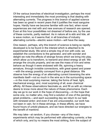Of the various branches of electrical investigation, perhaps the most interesting and immediately the most promising is that dealing with alternating currents. The progress in this branch of applied science has been so great in recent years that it justifies the most sanguine hopes. Hardly have we become familiar with one fact, when novel experiences are met with and new avenues of research are opened. Even at this hour possibilities not dreamed of before are, by the use of these currents, partly realized. As in nature all is ebb and tide, all is wave motion, so it seems that; in all branches of industry alternating currents—electric wave motion—will have the sway.

One reason, perhaps, why this branch of science is being so rapidly developed is to be found in the interest which is attached to its experimental study. We wind a simple ring of iron with coils; we establish the connections to the generator, and with wonder and delight we note the effects of strange forces which we bring into play, which allow us to transform, to transmit and direct energy at will. We arrange the circuits properly, and we see the mass of iron and wires behave as though it were endowed with life, spinning a heavy armature, through invisible connections, with great speed and power —with the energy possibly conveyed from a great distance. We observe how the energy of an alternating current traversing the wire manifests itself—not so much in the wire as in the surrounding space —in the most surprising manner, taking the forms of heat, light, mechanical energy, and, most surprising of all, even chemical affinity. All these observations fascinate us, and fill us with an intense desire to know more about the nature of these phenomena. Each day we go to our work in the hope of discovering,—in the hope that some one, no matter who, may find a solution of one of the pending great problems,—and each succeedng day we return to our task with renewed ardor; and even if we *are* unsuccessful, our work has not been in vain, for in these strivings, in these efforts, we have found hours of untold pleasure, and we have directed our energies to the benefit of mankind.

We may take—at random, if you choose—any of the many experiments which may be performed with alternating currents; a few of which only, and by no means the most striking, form the subject of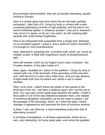this evening's demonstration: they are all equally interesting, equally inciting to thought.

Here is a simple glass tube from which the air has been partially exhausted. I take hold of it; I bring my body in contact with a wire conveying alternating currents of high potential, and the tube in my hand is brilliantly lighted. In whatever position I may put it, wherever I may move it in space, as far as I can reach, its soft, pleasing light persists with undiminished brightness.

Here is an exhausted bulb suspended from a single wire. Standing on an insulated support. I grasp it, and a platinum button mounted in it is brought to vivid incandescence.

Here, attached to a leading wire, is another bulb, which, as I touch its metallic socket, is filled with magnificent colors of phosphorescent light.

Here still another, which by my fingers' touch casts a shadow—the Crookes shadow, of the stem inside of it.

Here, again, insulated as I stand on this platform, I bring my body in contact with one of the terminals of the secondary of this induction coil—with the end of a wire many miles long—and you see streams of light break forth from its distant end, which is set in violent vibration.

Here, once more, I attach these two plates of wire gauze to the terminals of the coil. I set them a distance apart, and I set the coil to work. You may see a small spark pass between the plates. I insert a thick plate of one of the best dielectrics between them, and instead of renderng altogether mpossble, as we are used to expect, I *ad* the passage of the discharge, which, as I insert the plate, merely changes in appearance and assumes the form of luminous streams.

Is there, I ask, can there be, a more interesting study than that of alternating currents?

In all these investigations, in all these experiments, which are so very, very interesting, for many years past—ever since the greatest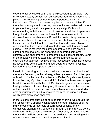experimenter who lectured in this hall discovered its principle—we have had a steady companion, an appliance familiar to every one, a plaything once, a thing of momentous importance now—the induction coil. There is no dearer appliance to the electrician. From the ablest among you, I dare say, down to the inexperienced student, to your lecturer, we all have passed many delightful hours in experimenting with the induction coil. We have watched its play, and thought and pondered over the beautiful phenomena which it disclosed to our ravished eyes. So well known is this apparatus, so familiar are these phenomena to every one, that my courage nearly fails me when I think that I have ventured to address so able an audience, that I have ventured to entertain you with that same old subject. Here in reality is the same apparatus, and here are the same phenomena, only the apparatus is operated somewhat differently, the phenomena are presented in a different aspect. Some of the results we find as expected, others surprise us, but all captivate our attention, for in scientific investigation each novel result achieved may be the centre of a new departure, each novel fact learned may lead to important developments.

Usually in operating an induction coil we have set up a vibration of moderate frequency in the primary, either by means of an interrupter or break, or by the use of an alternator. Earlier English investigators, to mention only Spottiswoode and J.E.H. Gordon, have used a rapid break in connection with the coil. Our knowledge and experience of to-day enables us to see clearly why these coils under the conditions of the tests did not disclose any remarkable phenomena, and why able experimenters failed to perceive many of the curious effects which have since been observed.

In the experiments such as performed this evening, we operate the coil either from a specially constructed alternator capable of giving many thousands of reversals of current per second, or, by disruptively discharging a condenser through the primary, we set up a vibration in the secondary circuit of a frequency of many hundred thousand or millions per second, if we so desire; and in using either of these means we enter a field as yet unexplored.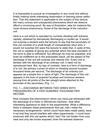It is impossible to pursue an investigation in any novel line without finally making some interesting observation or learning some useful fact. That this statement is applicable to the subject of this lecture the many curious and unexpected phenomena which we observe afford a convincing proof. By way of illustration, take for instance the most obvious phenomena, those of the discharge of the induction coil.

Here is a coil which is operated by currents vibrating with extreme rapidity, obtained by disruptively discharging a Leyden jar. It would not surprise a student were the lecturer to say that the secondary of this coil consists of a small length of comparatively stout wire; it would not surprise him were the lecturer to state that, in spite of this, the coil is capable of giving any potential which the best insulation of the turns is able to withstand: but although he may be prepared, and even be indifferent as to the anticipated result, yet the aspect of the discharge of the coil will surprise and interest him. Every one is familiar with the discharge of an ordinary coil; it need not be reproduced here. But, by way of contrast, here is a form of discharge of a coil, the primary current of which is vibrating several hundred thousand times per second. The discharge of an ordinary coil appears as a simple line or band of light. The discharge of this coil appears in the form of powerful brushes and luminous streams issuing from all points of the two straight wires attached to the terminals of the secondary. (Fig. 1.)

#### FIG. 1.—DISCHARGE BETWEEN TWO WIRES WITH FREQUENCIES OF A FEW HUNDRED THOUSAND PER SECOND.

Now compare this phenomenon which you have just witnessed with the discharge of a Holtz or Wimshurst machine—that other interesting appliance so dear to the experimenter. What a difference there is between these phenomena! And yet, had I made the necessary arrangements—which could have been made easily, were it not that they would interfere with other experiments—I could have produced with this coil sparks which, had I the coil hidden from your view and only two knobs exposed, even the keenest observer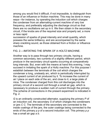among you would find it difficult, if not impossible, to distinguish from those of an influence or friction machine. This may be done in many ways—for instance, by operating the induction coil which charges the condenser from an alternating-current machine of very low frequency, and preferably adjusting the discharge circuit so that there are no oscillations set up in it. We then obtain in the secondary circuit, if the knobs are of the required size and properly set, a more or less rapid

succession of sparks of great intensity and small quantity, which possess the same brilliancy, and are accompanied by the same sharp crackling sound, as those obtained from a friction or influence machine.

FIG. 2.—IMITATING THE SPARK OF A HOLTZ MACHINE.

Another way is to pass through two primary circuits, having a common secondary, two currents of a slightly different period, which produce in the secondary circuit sparks occurring at comparatively long intervals. But, even with the means at hand this evening, I may succeed in imitating the spark of a Holtz machine. For this purpose I establish between the terminals of the coil which charges the condenser a long, unsteady arc, which is periodically interrupted by the upward current of air produced by it. To increase the current of air I place on each side of the arc, and close to it, a large plate of mica. The condenser charged from this coil discharges into the primary circuit of a second coil through a small air gap, which is necessary to produce a sudden rush of current through the primary. The scheme of connections in the present experiment is indicated in Fg. 2.

*G* is an ordinarily constructed alternator, supplying the primary P of an induction coil, the secondary *S* of which charges the condensers or jars *C C*. The terminals of the secondary are connected to the inside coatings of the jars, the outer coatings being connected to the ends of the primary *p p* of a second induction coil. This primary *p p* has a small air gap *a b*.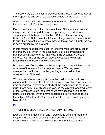The secondary *s* of this coil is provided with knobs or spheres *K K* of the proper size and set at a distance suitable for the experiment.

A long arc is established between the terminals A B of the first induction coil. *M M* are the mica plates.

Each time the arc is broken between A and B the jars are quickly charged and discharged through the primary *p p*, producing a snapping spark between the knobs  $K K$ . Upon the arc forming between *A* and *B* the potential falls, and the jars cannot be charged to such high potential as to break through the air gap *a b* until the arc is again broken by the draught.

In this manner sudden impulses, at long intervals, are produced in the primary *p p*, which in the secondary *s* give a corresponding number of impulses of great intensity. If the secondary knobs or spheres,  $K K$ , are of the proper size, the sparks show much resemblance to those of a Holtz machine.

But these two effects, which to the eye appear so very different, are only two of the many discharge phenomena. We only need to change the conditions of the test, and again we make other observations of interest.

When, instead of operating the induction coil as in the last two experiments, we operate it from a high frequency alternator, as in the next experiment, a systematic study of the phenomena is rendered much more easy. In such case, in varying the strength and frequency of the currents through the primary, we may observe five distinct forms of discharge, which I have described in my former paper on the subject  $[<sup>A</sup>]$  before the American Institute of Electrical Engineers, May 20, 1891.

#### <span id="page-21-0"></span>[\[A\]](#page-21-1)

<span id="page-21-1"></span>See THE ELECTRICAL WORLD, July 11, 1891.

It would take too much time, and it would lead us too far from the subject presented this evening, to reproduce all these forms, but it seems to me desirable to show you one of them. It is a brush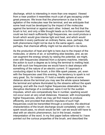discharge, which is interesting in more than one respect. Viewed from a near position it resembles much a jet of gas escaping under great pressure. We know that the phenomenon is due to the agitation of the molecules near the terminal, and we anticipate that some heat must be developed by the impact of the molecules against the terminal or against each other. Indeed, we find that the brush is hot, and only a little thought leads us to the conclusion that, could we but reach sufficiently high frequencies, we could produce a brush which would give intense light and heat, and which would resemble in every particular an ordinary flame, save, perhaps, that both phenomena might not be due to the same agent—save, perhaps, that chemical affinity might not be *electrical* in its nature.

As the production of heat and light is here due to the impact of the molecules, or atoms of air, or something else besides, and, as we can augment the energy simply by raising the potential, we might, even with frequencies obtained from a dynamo machine, intensify the action to such a degree as to bring the terminal to melting heat. But with such low frequencies we would have to deal always with something of the nature of an electric current. If I approach a conducting object to the brush, a thin little spark passes, yet, even with the frequencies used this evening, the tendency to spark is not very great. So, for instance, if I hold a metallic sphere at some distance above the terminal you may see the whole space between the terminal and sphere illuminated by the streams without the spark passing; and with the much higher frequencies obtainable by the disruptive discharge of a condenser, were it not for the sudden impulses, which are comparatively few in number, sparking would not occur even at very small distances. However, with incomparably higher frequencies, which we may yet find means to produce efficiently, and provided that electric impulses of such high frequencies could be transmitted through a conductor, the electrical characteristics of the brush discharge would completely vanish—no spark would pass, no shock would be felt—yet we would stll have to deal with an *electric* phenomenon, but in the broad, modern interpretation of the word. In my first paper before referred to I have pointed out the curious properties of the brush, and described the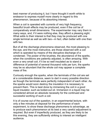best manner of producing it, but I have thought it worth while to endeavor to express myself more clearly in regard to this phenomenon, because of its absorbing interest.

When a coil is operated with currents of very high frequency, beautiful brush effects may be produced, even if the coil be of comparatively small dimensions. The experimenter may vary them in many ways, and, if it were nothing else, they afford a pleasing sight. What adds to their interest is that they may be produced with one single terminal as well as with two—in fact, often better with one than with two.

But of all the discharge phenomena observed, the most pleasing to the eye, and the most instructive, are those observed with a coil which is operated by means of the disruptive discharge of a condenser. The power of the brushes, the abundance of the sparks, when the conditions are patiently adjusted, is often amazing. With even a very small coil, if it be so well insulated as to stand a difference of potential of several thousand volts per turn, the sparks may be so abundant that the whole coil may appear a complete mass of fire.

Curiously enough the sparks, when the terminals of the coil are set at a considerable distance, seem to dart in every possible direction as though the terminals were perfectly independent of each other. As the sparks would soon destroy the insulation it is necessary to prevent them. This is best done by immersing the coil in a good liquid insulator, such as boiled-out oil. Immersion in a liquid may be considered almost an absolute necessity for the continued and successful working of such a coil.

It is of course out of the question, in an experimental lecture, with only a few minutes at disposal for the performance of each experiment, to show these discharge phenomena to advantage, as to produce each phenomenon at its best a very careful adjustment is required. But even if imperfectly produced, as they are likely to be this evening, they are sufficiently striking to interest an intelligent audience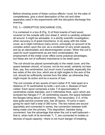Before showing some of these curious effects I must, for the sake of completeness, give a short description of the coil and other apparatus used in the experiments with the disruptive discharge this evening.

#### FIG. 3.—DISRUPTIVE DISCHARGE COIL.

It is contained in a box *B* (Fig. 3) of thick boards of hard wood, covered on the outside with zinc sheet *Z*, which is carefully soldered all around. It might be advisable, in a strictly scientific investigation, when accuracy is of great importance, to do away with the metal cover, as it might introduce many errors, principally on account of its complex action upon the coil, as a condenser of very small capacity and as an electrostatic and electromagnetic screen. When the coil is used for such experments as are here contemplated, the employment of the metal cover offers some practical advantages, but these are not of sufficient importance to be dwelt upon.

The coil should be placed symmetrically to the metal cover, and the space between should, of course, not be too small, certainly not less than, say, five centimetres, but much more if possible; especially the two sides of the zinc box, which are at right angles to the axis of the coil, should be sufficiently remote from the latter, as otherwise they might impair its action and be a source of loss.

The coil consists of two spools of hard rubber *R R*, held apart at a distance of 10 centimetres by bolts *c* and nuts *n*, likewise of hard rubber. Each spool comprises a tube T of approximately 8 centimetres inside diameter, and 3 millimetres thick, upon which are screwed two flanges *F F*, 24 centimetres square, the space between the flanges being about 3 centimetres. The secondary, S S, of the best gutta percha-covered wire, has 26 layers, 10 turns in each, giving for each half a total of 260 turns. The two halves are wound oppositely and connected in series, the connection between both being made over the primary. This disposition, besides being convenient, has the advantage that when the coil is well balanced that is, when both of its terminals  $\,_{1}$   $\,_{1}$  are connected to bodies or devices of equal capacity—there is not much danger of breaking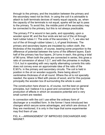through to the primary, and the insulation between the primary and the secondary need not be thick. In using the coil it is advisable to attach to *both* terminals devices of nearly equal capacity, as, when the capacity of the terminals is not equal, sparks will be apt to pass to the primary. To avoid this, the middle point of the secondary may be connected to the primary, but this is not always practicable.

The primary *P P* is wound in two parts, and oppositely, upon a wooden spool W, and the four ends are led out of the oil through hard rubber tubes *t t*. The ends of the secondary  $\mathcal{T}_1$   $\mathcal{T}_1$  are also led out of the oil through rubber tubes  $t_1 \ t_1$  of great thickness. The primary and secondary layers are insulated by cotton cloth, the thickness of the insulation, of course, bearing some proportion to the difference of potential between the turns of the different layers. Each half of the primary has four layers, 24 turns in each, this giving a total of 96 turns. When both the parts are connected in series, this gives a ratio of conversion of about 1:2.7, and with the primaries in multiple, 1:5.4; but in operating with very rapidly alternating currents this ratio does not convey even an approximate idea of the ratio of the E.M.Fs. in the primary and secondary circuits. The coil is held in position in the oil on wooden supports, there being about 5 centimetres thickness of oil all round. Where the oil is not specially needed, the space is filled with pieces of wood, and for this purpose principally the wooden box *B* surrounding the whole is used.

The construction here shown is, of course, not the best on general principles, but I believe it is a good and convenient one for the production of effects in which an excessive potential and a very small current are needed.

In connection with the coil I use either the ordinary form of discharger or a modified form. In the former I have introduced two changes which secure some advantages, and which are obvious. If they are mentioned, it is only in the hope that some experimenter may find them of use.

FIG. 4.—ARRANGEMENT OF IMPROVED DISCHARGER AND MAGNET.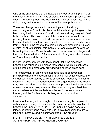One of the changes is that the adjustable knobs A and B (Fig. 4), of the discharger are held in jaws of brass, *J J*, by spring pressure, this allowing of turning them successively into different positions, and so doing away with the tedious process of frequent polishing up.

The other change consists in the employment of a strong electromagnet N S, which is placed with its axis at right angles to the line joining the knobs A and B, and produces a strong magnetic field between them. The pole pieces of the magnet are movable and properly formed so as to protrude between the brass knobs, in order to make the field as intense as possible; but to prevent the discharge from jumping to the magnet the pole pieces are protected by a layer of mica, *M M*, of sufficient thickness.  $\boldsymbol{s}_1$   $\boldsymbol{s}_1$  and  $\boldsymbol{s}_2$   $\boldsymbol{s}_2$  are screws for fastening the wires. On each side one of the screws is for large and the other for small wires. *L L* are screws for fixing in position the rods *R R*, which support the knobs.

In another arrangement with the magnet I take the discharge between the rounded pole pieces themselves, which in such case are insulated and preferably provided with polished brass caps.

The employment of an intense magnetic field is of advantage principally when the induction coil or transformer which charges the condenser is operated by currents of very low frequency. In such a case the number of the fundamental discharges between the knobs may be so small as to render the currents produced in the secondary unsuitable for many experiments. The intense magnetic field then serves to blow out the arc between the knobs as soon as it is formed, and the fundamental discharges occur in quicker succession.

Instead of the magnet, a draught or blast of air may be employed with some advantage. In this case the arc is preferably established between the knobs *A B*, in Fig. 2 (the knobs *a b* being generally joined, or entirely done away with), as in this disposition the arc is long and unsteady, and is easily affected by the draught.

FIG. 5.—ARRANGEMENT WITH LOW-FREQUENCY ALTERNATOR AND IMPROVED DISCHARGER.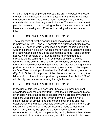When a magnet is employed to break the arc, it is better to choose the connection indicated diagrammatically in Fig. 5, as in this case the currents forming the arc are much more powerful, and the magnetic field exercises a greater influence. The use of the magnet permits, however, of the arc being replaced by a vacuum tube, but I have encountered great difficulties in working with an exhausted tube.

FIG. 6.—DISCHARGER WITH MULTIPLE GAPS.

The other form of discharger used in these and similar experiments is indicated in Figs. 6 and 7. It consists of a number of brass pieces *c c* (Fig. 6), each of which comprises a spherical middle portion *m* with an extension e below—which is merely used to fasten the piece in a lathe when polishing up the discharging surface—and a column above, which consists of a knurled flange *f* surmounted by a threaded stem *l* carrying a nut  $n$ , by means of which a wire is fastened to the column. The flange *f* conveniently serves for holding the brass piece when fastening the wire, and also for turning it in any position when it becomes necessary to present a fresh discharging surface. Two stout strips of hard rubber *R R*, with planed grooves *q q* (Fig. 7) to fit the middle portion of the pieces  $c$  c, serve to clamp the latter and hold them firmly in position by means of two bolts *C C* (of which only one is shown) passing through the ends of the strips.

#### FIG. 7.—DISCHARGER WITH MULTIPLE GAPS.

In the use of this kind of discharger I have found three principal advantages over the ordinary form. First, the dielectric strength of a given total width of air space is greater when a great many small air gaps are used instead of one, which permits of working with a smaller length of air gap, and that means smaller loss and less deterioration of the metal; secondly by reason of splitting the arc up into smaller arcs, the polished surfaces are made to last much longer; and, thirdly, the apparatus affords some gauge in the experiments. I usually set the pieces by putting between them sheets of uniform thickness at a certain very small distance which is known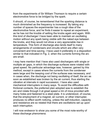from the experiments of Sir William Thomson to require a certain electromotive force to be bridged by the spark.

It should, of course, be remembered that the sparking distance is much diminished as the frequency is increased. By taking any number of spaces the experimenter has a rough idea of the electromotive force, and he finds it easier to repeat an experiment, as he has not the trouble of setting the knobs again and again. With this kind of discharger I have been able to maintain an oscillating motion without any spark being visible with the naked eye between the knobs, and they would not show a very appreciable rise in temperature. This form of discharge also lends itself to many arrangements of condensers and circuits which are often very convenient and time-saving. I have used it preferably in a disposition similar to that indicated in Fig. 2, when the currents forming the arc are small.

I may here mention that I have also used dischargers with single or multiple air gaps, in which the discharge surfaces were rotated with great speed. No particular advantage was, however, gained by this method, except in cases where the currents from the condenser were large and the keeping cool of the surfaces was necessary, and in cases when, the discharge not being oscillating of itself, the arc as soon as established was broken by the air current, thus starting the vibration at intervals in rapid succession. I have also used mechanical interrupters in many ways. To avoid the difficulties with frictional contacts, the preferred plan adopted was to establish the arc and rotate through it at great speed a rim of mica provided with many holes and fastened to a steel plate. It is understood, of course, that the employment of a magnet, air current, or other interrupter, produces no effect worth noticing, unless the self-induction, capacity and resistance are so related that there are oscillations set up upon each interruption.

I will now endeavor to show you some of the most note-worthy of these discharge phenomena.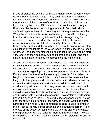I have stretched across the room two ordinary cotton covered wires, each about 7 metres in length. They are supported on insulating cords at a distance of about 30 centimetres. I attach now to each of the terminals of the coil one of the wires and set the coil in action. Upon turning the lights off in the room you see the wires strongly illuminated by the streams issuing abundantly from their whole surface in spite of the cotton covering, which may even be very thick. When the experiment is performed under good conditions, the light from the wires is sufficiently intense to allow distinguishing the objects in a room. To produce the best result it is, of course, necessary to adjust carefully the capacity of the jars, the arc between the knobs and the length of the wires. My experience is that calculation of the length of the wires leads, in such case, to no result whatever. The experimenter will do best to take the wires at the start very long, and then adjust by cutting off first long pieces, and then smaller and smaller ones as he approaches the right length.

A convenient way is to use an oil condenser of very small capacity, consisting of two small adjustable metal plates, in connection with this and similar experiments. In such case I take wires rather short and set at the beginning the condenser plates at maximum distance. If the streams for the wires increase by approach of the plates, the length of the wires is about right; if they diminish the wires are too long for that frequency and potential. When a condenser is used in connection with experiments with such a coil, it should be an oil condenser by all means, as in using an air condenser considerable energy might be wasted. The wires leading to the plates in the oil should be very thin, heavily coated with some insulating compound, and provided with a conducting covering—this preferably extending under the surface of the oil. The conducting cover should not be too near the terminals, or ends, of the wire, as a spark would be apt to jump from the wire to it. The conducting coating is used to diminish the air losses, in virtue of its action as an electrostatic screen. As to the size of the vessel containing the oil, and the size of the plates, the experimenter gains at once an idea from a rough trial. The size of the plates *in oil* is, however, calculable, as the dielectric losses are very small.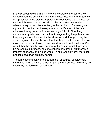In the preceding experiment it is of considerable interest to know what relation the quantity of the light emitted bears to the frequency and potential of the electric impulses. My opinion is that the heat as well as light effects produced should be proportionate, under otherwise equal conditions of test, to the product of frequency and square of potential, but the experimental verification of the law, whatever it may be, would be exceedingly difficult. One thing is certain, at any rate, and that is, that in augmenting the potential and frequency we rapidly intensify the streams; and, though it may be very sanguine, it is surely not altogether hopeless to expect that we may succeed in producing a practical illuminant on these lines. We would then be simply using burners or flames, in which there would be no chemical process, no consumption of material, but merely a transfer of energy, and which would, in all probability emit more light and less heat than ordinary flames.

The luminous intensity of the streams is, of course, considerably increased when they are focused upon a small surface. This may be shown by the following experiment: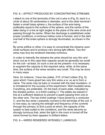#### FIG. 8.—EFFECT PRODUCED BY CONCENTRATING STREAMS.

I attach to one of the terminals of the coil a wire *w* (Fig. 8), bent in a circle of about 30 centimetres in diameter, and to the other terminal I fasten a small brass sphere *s*, the surface of the wire being preferably equal to the surface of the sphere, and the centre of the latter being in a line at right angles to the plane of the wire circle and passing through its centre. When the discharge is established under proper conditions, a luminous hollow cone is formed, and in the dark one-half of the brass sphere is strongly illuminated, as shown in the cut.

By some artifice or other, it is easy to concentrate the streams upon small surfaces and to produce very strong light effects. Two thin wires may thus be rendered intensely luminous.

In order to intensify the streams the wires should be very thin and short; but as in this case their capacity would be generally too small for the coil—at least, for such a one as the present—it is necessary to augment the capacity to the required value, while, at the same time, the surface of the wires remains very small. This may be done in many ways.

Here, for instance, I have two plates, *R R*, of hard rubber (Fig. 9), upon which I have glued two very thin wires *w w*, so as to form a name. The wires may be bare or covered with the best insulation—it is immaterial for the success of the experiment. Well insulated wires, if anything, are preferable. On the back of each plate, indicated by the shaded portion, is a tinfoll coating *t t*. The plates are placed in line at a sufficient distance to prevent a spark passing from one to the other wire. The two tinfoll coatings I have joined by a conductor *C*, and the two wires I presently connect to the terminals of the coil. It is now easy, by varying the strength and frequency of the currents through the primary, to find a point at which, the capacity of the system is best suited to the conditions, and the wires become so strongly luminous that, when the light in the room is turned off the name formed by them appears in brilliant letters.

FIG. 9.—WIRES RENDERED INTENSELY LUMINOUS.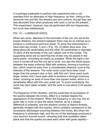It is perhaps preferable to perform this experiment with a coil operated from an alternator of high frequency, as then, owing to the harmonic rise and fall, the streams are very uniform, though they are less abundant then when produced with such a coil as the present. This experiment, however, may be performed with low frequencies, but much less satisfactorily.

#### FIG. 10.—LUMINOUS DISCS.

When two wires, attached to the terminals of the coil, are set at the proper distance, the streams between them may be so intense as to produce a continuous luminous sheet. To show this phenomenon I have here two circles, C and c (Fig. 10), of rather stout wire, one being about 80 centimetres and the other 30 centimetres in diameter. To each of the terminals of the coil I attach one of the circles. The supporting wires are so bent that the circles may be placed in the same plane, coinciding as nearly as possible. When the light in the room is turned off and the coil set to work, you see the whole space between the wires uniformly filled with streams, forming a luminous disc, which could be seen from a considerable distance, such is the intensity of the streams. The outer circle could have been much larger than the present one; in fact, with this coil I have used much larger circles, and I have been able to produce a strongly luminous sheet, covering an area of more than one square metre, which is a remarkable effect with this very small coil. To avoid uncertainty, the circle has been taken smaller, and the area is now about 0.43 square metre.

The frequency of the vibration, and the quickness of succession of the sparks between the knobs, affect to a marked degree the appearance of the streams. When the frequency is very low, the air gives way in more or less the same manner, as by a steady difference of potential, and the streams consist of distinct threads, generally mingled with thin sparks, which probably correspond to the successive discharges occurring between the knobs. But when the frequency is extremely high, and the arc of the discharge produces a very *loud* but *smooth* sound—showing both that oscillation takes place and that the sparks succeed each other with great rapidity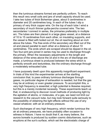then the luminous streams formed are perfectly uniform. To reach this result very small coils and jars of small capacity should be used. I take two tubes of thick Bohemian glass, about 5 centimetres in diameter and 20 centimetres long. In each of the tubes I slip a primary of very thick copper wire. On the top of each tube I wind a secondary of much thinner gutta-percha covered wire. The two secondaries I connect in series, the primaries preferably in multiple arc. The tubes are then placed in a large glass vessel, at a distance of 10 to 15 centimetres from each other, on insulating supports, and the vessel is filled with boiled out oil, the oil reaching about an inch above the tubes. The free ends of the secondary are lifted out of the oil and placed parallel to each other at a distance of about 10 centimetres. The ends which are scraped should be dipped in the oil. Two four-pint jars joined in series may be used to discharge through the primary. When the necessary adjustments in the length and distance of the wires above the oil and in the arc of discharge are made, a luminous sheet is produced between the wires which is perfectly smooth and textureless, like the ordinary discharge through a moderately exhausted tube.

I have purposely dwelt upon this apparently insignificant experiment. In trials of this kind the experimenter arrives at the startling conclusion that, to pass ordinary luminous discharges through gases, no particular degree of exhaustion is needed, but that the gas may be at ordinary or even greater pressure. To accomplish this, a very high frequency is essential; a high potential is likewise required, but this is a merely incidental necessity. These experiments teach us that, in endeavoring to discover novel methods of producing light by the agitation of atoms, or molecules, of a gas, we need not limit our research to the vacuum tube, but may look forward quite seriously to the possibility of obtaining the light effects without the use of any vessel whatever, with air at ordinary pressure.

Such discharges of very high frequency, which render luminous the air at ordinary pressures, we have probably often occasion to witness in Nature. I have no doubt that if, as many believe, the aurora borealis is produced by sudden cosmic disturbances, such as eruptions at the sun's surface, which set the electrostatic charge of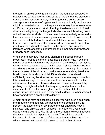the earth in an extremely rapid vibration, the red glow observed is not confined to the upper rarefied strata of the air, but the discharge traverses, by reason of its very high frequency, also the dense atmosphere in the form of a *glow*, such as we ordinarily produce in a slightly exhausted tube. If the frequency were very low, or even more so, if the charge were not at all vibrating, the dense air would break down as in a lightning discharge. Indications of such breaking down of the lower dense strata of the air have been repeatedly observed at the occurrence of this marvelous phenomenon; but if it does occur, it can only be attributed to the fundamental disturbances, which are few in number, for the vibration produced by them would be far too rapid to allow a disruptive break. It is the original and irregular impulses which affect the instruments; the superimposed vibrations probably pass unnoticed.

When an ordinary low frequency discharge is passed through moderately rarefied air, the air assumes a purplish hue. If by some means or other we increase the intensity of the molecular, or atomic, vibration, the gas changes to a white color. A similar change occurs at ordinary pressures with electric impulses of very high frequency. If the molecules of the air around a wire are moderately agitated, the brush formed is reddish or violet; if the vibration is rendered sufficiently intense, the streams become white. We may accomplish this in various ways. In the experiment before shown with the two wires across the room, I have endeavored to secure the result by pushing to a high value both the frequency and potential: in the experiment with the thin wires glued on the rubber plate I have concentrated the action upon a very small surface—in other words, I have worked with a great electric density.

A most curious form of discharge is observed with such a coil when the frequency and potential are pushed to the extreme limit. To perform the experiment, every part of the coil should be heavily nsulated, and only two small spheres—or, better stll, two sharpedged metal discs (*d d*, Fig. 11) of no more than a few centimetres in diameter—should be exposed to the air. The coil here used is immersed in oil, and the ends of the secondary reaching out of the oil are covered with an air-tight cover of hard rubber of great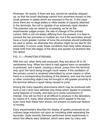thickness. All cracks, if there are any, should be carefully stopped up, so that the brush discharge cannot form anywhere except on the small spheres or plates which are exposed to the air. In this case, since there are no large plates or other bodies of capacity attached to the terminals, the coil is capable of an extremely rapid vibration. The potential may be raised by increasing, as far as the experimenter judges proper, the rate of change of the primary current. With a coil not widely differing from the present, it is best to connect the two primaries in multiple arc; but if the secondary should have a much greater number of turns the primaries should preferably be used in series, as otherwise the vibration might be too fast for the secondary. It occurs under these conditions that misty white streams break forth from the edges of the discs and spread out phantom-like nto space.

FIG. 11.—PHANTOM STREAMS.

With this coil, when fairly well produced, they are about 25 to 30 centimetres long. When the hand is held against them no sensation is produced, and a spark, causing a shock, jumps from the terminal only upon the hand being brought much nearer. If the oscillation of the primary current is rendered intermittent by some means or other, there is a corresponding throbbing of the streams, and now the hand or other conducting object may be brought in still greater proximity to the terminal without a spark being caused to jump.

Among the many beautiful phenomena which may be produced with such a coil I have here selected only those which appear to possess some features of novelty, and lead us to some conclusions of interest. One will not find it at all difficult to produce in the laboratory, by means of it, many other phenomena which appeal to the eye even more than these here shown, but present no particular feature of novelty.

Early experimenters describe the display of sparks produced by an ordinary large induction coil upon an insulating plate separating the terminals. Quite recently Siemens performed some experiments in which fine effects were obtained, which were seen by many with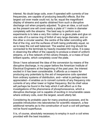interest. No doubt large coils, even if operated with currents of low frequencies, are capable of producing beautiful effects. But the largest coil ever made could not, by far, equal the magnificent display of streams and sparks obtained from such a disruptive discharge coil when properly adjusted. To give an idea, a coil such as the present one will cover easily a plate of 1 metre in diameter completely with the streams. The best way to perform such experiments is to take a very thin rubber or a glass plate and glue on one side of it a narrow ring of tinfoll of very large diameter, and on the other a circular washer, the centre of the latter coinciding with that of the ring, and the surfaces of both being preferably equal, so as to keep the coil well balanced. The washer and ring should be connected to the terminals by heavily insulated thin wires. It is easy in observing the effect of the capacity to produce a sheet of uniform streams, or a fine network of thin silvery threads, or a mass of loud brilliant sparks, which completely cover the plate.

Since I have advanced the idea of the conversion by means of the disruptive discharge, in my paper before the American Institute of Electrical Engineers at the beginning of the past year, the interest excited in it has been considerable. It affords us a means for producing any potentials by the aid of inexpensive coils operated from ordinary systems of distribution, and—what is perhaps more appreciated—it enables us to convert currents of any frequency into currents of any other lower or higher frequency. But its chief value will perhaps be found in the help which it will afford us in the investigations of the phenomena of phosphorescence, which a disruptive discharge coil is capable of exciting in innumerable cases where ordinary coils, even the largest, would utterly fail.

Considering its probable uses for many practical purposes, and its possible introduction into laboratories for scientific research, a few additional remarks as to the construction of such a coil will perhaps not be found superfluous.

It is, of course, absolutely necessary to employ in such a coil wires provided with the best insulation.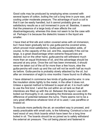Good coils may be produced by employing wires covered with several layers of cotton, boiling the coil a long time in pure wax, and cooling under moderate pressure. The advantage of such a coil is that it can be easily handled, but it cannot probably give as satisfactory results as a coil immersed in pure oil. Besides, it seems that the presence of a large body of wax affects the coil disadvantageously, whereas this does not seem to be the case with oil. Perhaps it is because the dielectric losses in the liquid are smaller.

I have tried at first silk and cotton covered wires with oil immersion, but I have been gradually led to use gutta-percha covered wires, which proved most satisfactory. Gutta-percha insulation adds, of course, to the capacity of the coil, and this, especially if the coil be large, is a great disadvantage when extreme frequencies are desired; but on the other hand, gutta-percha will withstand much more than an equal thickness of oil, and this advantage should be secured at any price. Once the coil has been immersed, it should never be taken out of the oil for more than a few hours, else the gutta-percha will crack up and the coil will not be worth half as much as before. Gutta-percha is probably slowly attacked by the oil, but after an immersion of eight to nine months I have found no ill effects.

I have obtained in commerce two kinds of gutta-percha wire: in one the insulation sticks tightly to the metal, in the other it does not. Unless a special method is followed to expel all air, it is much safer to use the first kind. I wind the coil within an oil tank so that all interstices are filled up with the oil. Between the layers I use cloth boiled out thoroughly in oil, calculating the thickness according to the difference of potential between the turns. There seems not to be a very great difference whatever kind of oil is used; I use paraffine or linseed oil.

To exclude more perfectly the air, an excellent way to proceed, and easily practicable with small coils, is the following: Construct a box of hard wood of very thick boards which have been for a long time boiled in oil. The boards should be so joined as to safely withstand the external air pressure. The coil being placed and fastened in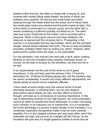position within the box, the latter is closed with a strong lid, and covered with closely fitting metal sheets, the joints of which are soldered very carefully. On the top two small holes are drilled, passing through the metal sheet and the wood, and in these holes two small glass tubes are inserted and the joints made air-tight. One of the tubes is connected to a vacuum pump, and the other with a vessel containing a sufficient quantity of boiled-out oil. The latter tube has a very small hole at the bottom, and is provided with a stopcock. When a fairly good vacuum has been obtained, the stopcock is opened and the oil slowly fed in. Proceeding in this manner, it is impossible that any big bubbles, which are the principal danger, should remain between the turns. The air is most completely excluded, probably better than by boiling out, which, however, when qutta-percha coated wires are used, is not practicable.

For the primaries I use ordinary line wire with a thick cotton coating. Strands of very thin insulated wires properly interlaced would, of course, be the best to employ for the primaries, but they are not to be had.

In an experimental coil the size of the wires is not of great importance. In the coil here used the primary is No. 12 and the secondary No. 24 Brown & Sharpe gauge wire; but the sections may be varied considerably. It would only imply different adjustments; the results aimed at would not be materially affected.

I have dwelt at some length upon the various forms of brush discharge because, in studying them, we not only observe phenomena which please our eye, but also afford us food for thought, and lead us to conclusions of practical importance. In the use of alternating currents of very high tension, too much precaution cannot be taken to prevent the brush discharge. In a main conveying such currents, in an induction coil or transformer, or in a condenser, the brush discharge is a source of great danger to the insulation. In a condenser especially the gaseous matter must be most carefully expelled, for in it the charged surfaces are near each other, and if the potentials are high, just as sure as a weight will fall if let go, so the insulation will give way if a single gaseous bubble of some size be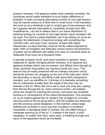present, whereas, if all gaseous matter were carefully excluded, the condenser would safely withstand a much higher difference of potential. A main conveying alternating currents of very high tension may be injured merely by a blow hole or small crack in the insulation, the more so as a blowhole is apt to contain gas at low pressure; and as it appears almost impossible to completely obviate such little imperfections, I am led to believe that in our future distribution of electrical energy by currents of very high tension liquid insulation will be used. The cost is a great drawback, but if we employ an oil as an insulator the distribution of electrical energy with something like 100,000 volts, and even more, become, at least with higher frequencies, so easy that they could be hardly called engineering feats. With oil insulation and alternate current motors transmissions of power can be effected with safety and upon an industrial basis at distances of as much as a thousand miles.

A peculiar property of oils, and liquid insulation in general, when subjected to rapidly changing electric stresses, is to disperse any gaseous bubbles which may be present, and diffuse them through its mass, generally long before any injurious break can occur. This feature may be easily observed with an ordinary induction coil by taking the primary out, plugging up the end of the tube upon which the secondary is wound, and filling it with some fairly transparent insulator, such as paraffine oil. A primary of a diameter something like six millimetres smaller than the inside of the tube may be inserted in the oil. When the coil is set to work one may see, looking from the top through the oil, many luminous points—air bubbles which are caught by inserting the primary, and which are rendered luminous in consequence of the violent bombardment. The occluded air, by its impact against the oil, heats it; the oil begins to circulate, carrying some of the air along with it, until the bubbles are dispersed and the luminous points disappear. In this manner, unless large bubbles are occluded in such way that circulation is rendered impossible, a damaging break is averted, the only effect being a moderate warming up of the oil. If, instead of the liquid, a solid insulation, no matter how thick, were used, a breaking through and injury of the apparatus would be inevitable.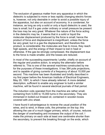The exclusion of gaseous matter from any apparatus in which the dielectric is subjected to more or less rapidly changing electric forces is, however, not only desirable in order to avoid a possible injury of the apparatus, but also on account of economy. In a condenser, for instance, as long as only a solid or only a liquid dielectric is used, the loss is small; but if a gas under ordinary or small pressure be present the loss may be very great. Whatever the nature of the force acting in the dielectric may be, it seems that in a solid or liquid the molecular displacement produced by the force is small; hence the product of force and displacement is insignificant, unless the force be very great; but in a gas the displacement, and therefore this product, is considerable; the molecules are free to move, they reach high speeds, and the energy of their impact is lost in heat or otherwise. If the gas be strongly compressed, the displacement due to the force is made smaller, and the losses are reduced.

In most of the succeeding experiments I prefer, chiefly on account of the regular and positive action, to employ the alternator before referred to. This is one of the several machines constructed by me for the purposes of these investigations. It has 384 pole projections, and is capable of giving currents of a frequency of about 10,000 per second. This machine has been illustrated and briefly described in my first paper before the American Institute of Electrical Engineers, May 20, 1891, to which I have already referred. A more detailed description, sufficient to enable any engineer to build a similar machine, will be found in several electrical journals of that period.

The induction coils operated from the machine are rather small, containing from 5,000 to 15,000 turns in the secondary. They are immersed in boiled-out linseed oil, contained in wooden boxes covered with zinc sheet.

I have found it advantageous to reverse the usual position of the wires, and to wind, in these coils, the primaries on the top; this allowing the use of a much bigger primary, which, of course, reduces the danger of overheating and increases the output of the coil. I make the primary on each side at least one centimetre shorter than the secondary, to prevent the breaking through on the ends, which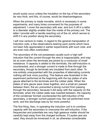would surely occur unless the insulation on the top of the secondary be very thick, and this, of course, would be disadvantageous.

When the primary is made movable, which is necessary in some experiments, and many times convenient for the purposes of adjustment, I cover the secondary with wax, and turn it off in a lathe to a diameter slightly smaller than the inside of the primary coil. The latter I provide with a handle reaching out of the oil, which serves to shift it in any position along the secondary.

I will now venture to make, in regard to the general manipulation of induction coils, a few observations bearing upon points which have not been fully appreciated in earlier experiments with such coils, and are even now often overlooked.

The secondary of the coil possesses usually such a high selfinduction that the current through the wire is inappreciable, and may be so even when the terminals are joined by a conductor of small resistance. If capacity is added to the terminals, the self-induction is counteracted, and a stronger current is made to flow through the secondary, though its terminals are insulated from each other. To one entirely unacquainted with the properties of alternating currents nothing will look more puzzling. This feature was illustrated in the experiment performed at the beginning with the top plates of wire gauze attached to the terminals and the rubber plate. When the plates of wire gauze were close together, and a small arc passed between them, the arc *prevented* a strong current from passing through the secondary, because it did away with the capacity on the terminals; when the rubber plate was inserted between, the capacity of the condenser formed counteracted the self-induction of the secondary, a stronger current passed now, the coil performed more work, and the discharge was by far more powerful.

The first thing, then, in operating the induction coil is to combine capacity with the secondary to overcome the self-induction. If the frequencies and potentials are very high gaseous matter should be carefully kept away from the charged surfaces. If Leyden jars are used, they should be immersed in oil, as otherwise considerable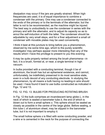dissipation may occur if the jars are greatly strained. When high frequencies are used, it is of equal importance to combine a condenser with the primary. One may use a condenser connected to the ends of the primary or to the terminals of the alternator, but the latter is not to be recommended, as the machine might be injured. The best way is undoubtedly to use the condenser in series with the primary and with the alternator, and to adjust its capacity so as to annul the self-induction of both the latter. The condenser should be adjustable by very small steps, and for a finer adjustment a small oil condenser with movable plates may be used conveniently.

I think it best at this juncture to bring before you a phenomenon, observed by me some time ago, which to the purely scientific investigator may perhaps appear more interesting than any of the results which I have the privilege to present to you this evening.

It may be quite properly ranked among the brush phenomena—in fact, it is a brush, formed at, or near, a single terminal in high vacuum.

In bulbs provided with a conducting terminal, though it be of aluminium, the brush has but an ephemeral existence, and cannot, unfortunately, be indefinitely preserved in its most sensitive state, even in a bulb devoid of any conducting electrode. In studying the phenomenon, by all means a bulb having no leading-in wire should be used. I have found it best to use bulbs constructed as indicated in Figs.  $12$  and  $13$ .

FIG. 12. FIG. 13. BULBS FOR PRODUCING ROTATING BRUSH.

In Fig. 12 the bulb comprises an incandescent lamp globe *L*, in the neck of which is sealed a barometer tube *b*, the end of which is blown out to form a small sphere s. This sphere should be sealed as closely as possible in the centre of the large globe. Before sealing, a thin tube *t*, of aluminium sheet, may be slipped in the barometer tube, but it is not important to employ it.

The small hollow sphere s is filled with some conducting powder, and a wire *w* is cemented in the neck for the purpose of connecting the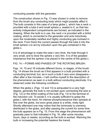conducting powder with the generator.

The construction shown in Fig. 13 was chosen in order to remove from the brush any conducting body which might possibly affect it. The bulb consists in this case of a lamp globe *L*, which has a neck *n*, provided with a tube *b* and small sphere *s*, sealed to it, so that two entirely independent compartments are formed, as indicated in the drawing. When the bulb is in use, the neck  $n$  is provided with a tinfoll coating, which is connected to the generator and acts inductively upon the moderately rarefied and highly conducting gas inclosed in the neck. From there the current passes through the tube *b* into the small sphere s to act by induction upon the gas contained in the globe *L*.

It is of advantage to make the tube *t* very thick, the hole through it very small, and to blow the sphere *s* very thin. It is of the greatest importance that the sphere *s* be placed in the centre of the globe *L*.

# FIG. 14.—FORMS AND PHASES OF THE ROTATING BRUSH.

Figs. 14, 15 and 16 indicate different forms, or stages, of the brush. Fig. 14 shows the brush as it first appears in a bulb provided with a conducting terminal; but, as in such a bulb it very soon disappears often after a few minutes—I will confine myself to the description of the phenomenon as seen in a bulb without conducting electrode. It is observed under the following conditions:

When the globe *L* (Figs. 12 and 13) is exhausted to a very high degree, generally the bulb is not excited upon connecting the wire *w*  $(Fig. 12)$  or the tinfoll coating of the bulb (Fig. 13) to the terminal of the induction coil. To excite it, it is usually sufficient to grasp the globe *L* with the hand. An intense phosphorescence then spreads at first over the globe, but soon gives place to a white, misty light. Shortly afterward one may notice that the luminosity is unevenly distributed in the globe, and after passing the current for some time the bulb appears as in Fig. 15. From this stage the phenomenon will gradually pass to that indicated in Fig. 16, after some minutes, hours, days or weeks, according as the bulb is worked. Warming the bulb or increasing the potential hastens the transit.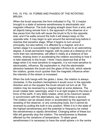### FIG. 15. FIG. 16. FORMS AND PHASES OF THE ROTATING BRUSH.

When the brush assumes the form indicated in Fig. 16, it maybe brought to a state of extreme sensitiveness to electrostatic and magnetic influence. The bulb hanging straight down from a wire, and all objects being remote from it, the approach of the observer at a few paces from the bulb will cause the brush to fly to the opposite side, and if he walks around the bulb it will always keep on the opposite side. It may begin to spin around the terminal long before it reaches that sensitive stage. When it begins to turn around principally, but also before, it is affected by a magnet, and at a certain stage it is susceptible to magnetic influence to an astonishing degree. A small permanent magnet, with its poles at a distance of no more than two centimetres, will affect it visibly at a distance of two metres, slowing down or accelerating the rotation according to how it is held relatively to the brush. I think I have observed that at the stage when it is most sensitive to magnetic, it is not most sensitive to electrostatic, influence. My explanation is, that the electrostatic attraction between the brush and the glass of the bulb, which retards the rotation, grows much quicker than the magnetic influence when the intensity of the stream is increased.

When the bulb hangs with the globe *L* down, the rotation is always clockwise. In the southern hemisphere it would occur in the opposite direction and on the equator the brush should not turn at all. The rotation may be reversed by a magnet kept at some distance. The brush rotates best, seemingly, when it is at right angles to the lines of force of the earth. It very likely rotates, when at its maximum speed, in synchronism with the alternations, say 10,000 times a second. The rotation can be slowed down or accelerated by the approach or receding of the observer, or any conducting body, but it cannot be reversed by putting the bulb in any position. When it is in the state of the highest sensitiveness and the potential or frequency be varied the sensitiveness is rapidly diminished. Changing either of these but little will generally stop the rotation. The sensitiveness is likewise affected by the variations of temperature. To attain great sensitiveness it is necessary to have the small sphere *s* in the centre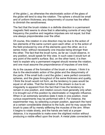of the globe *L*, as otherwise the electrostatic action of the glass of the globe wll tend to stop the rotaton. The sphere *s* should be small and of uniform thickness; any dissymmetry of course has the effect to diminish the sensitiveness.

The fact that the brush rotates in a definite direction in a permanent magnetic field seems to show that in alternating currents of very high frequency the positive and negative impulses are not equal, but that one always preponderates over the other.

Of course, this rotation in one direction may be due to the action of two elements of the same current upon each other, or to the action of the field produced by one of the elements upon the other, as in a series motor, without necessarily one impulse being stronger than the other. The fact that the brush turns, as far as I could observe, in any position, would speak for this view. In such case it would turn at any point of the earth's surface. But, on the other hand, it is then hard to explain why a permanent magnet should reverse the rotation, and one must assume the preponderance of impulses of one kind.

As to the causes of the formation of the brush or stream. I think it is due to the electrostatic action of the globe and the dissymmetry of the parts. If the small bulb *s* and the globe *L* were perfect concentric spheres, and the glass throughout of the same thickness and quality, I think the brush would not form, as the tendency to pass would be equal on all sides. That the formation of the stream is due to an irregularity is apparent from the fact that it has the tendency to remain in one position, and rotation occurs most generally only when it is brought out of this position by electrostatic or magnetic influence. When in an extremely sensitive state it rests in one position, most curious experiments may be performed with it. For instance, the experimenter may, by selecting a proper position, approach the hand at a certain considerable distance to the bulb, and he may cause the brush to pass off by merely stiffening the muscles of the arm. When it begins to rotate slowly, and the hands are held at a proper distance, it is impossible to make even the slightest motion without producing a visible effect upon the brush. A metal plate connected to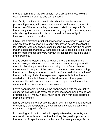the other terminal of the coil affects it at a great distance, slowing down the rotation often to one turn a second.

I am firmly convinced that such a brush, when we learn how to produce it properly, will prove a valuable aid in the investigation of the nature of the forces acting in an electrostatic or magnetic field. If there is any motion which is measurable going on in the space, such a brush ought to reveal it. It is, so to speak, a beam of light, frictionless, devoid of inertia.

I think that it may find practical applications in telegraphy. With such a brush it would be possible to send dispatches across the Atlantic, for instance, with any speed, since its sensitiveness may be so great that the slightest changes will affect it. If it were possible to make the stream more intense and very narrow, its deflections could be easily photographed.

I have been interested to find whether there is a rotation of the stream itself, or whether there is simply a stress traveling around in the bulb. For this purpose I mounted a light mica fan so that its vanes were in the path of the brush. If the stream itself was rotating the fan would be spun around. I could produce no distinct rotation of the fan, although I tried the experiment repeatedly; but as the fan exerted a noticeable influence on the stream, and the apparent rotation of the latter was, in this case, never quite satisfactory, the experiment did not appear to be conclusive.

I have been unable to produce the phenomenon with the disruptive discharge coil, although every other of these phenomena can be well produced by it—many, in fact, much better than with coils operated from an alternator.

It may be possible to produce the brush by impulses of one direction, or even by a steady potential, in which case it would be still more sensitive to magnetic influence.

In operating an induction coil with rapidly alternating currents, we realize with astonishment, for the first time, the great importance of the relation of capacity, self-induction and frequency as regards the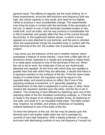general result. The effects of capacity are the most striking, for in these experiments, since the self-induction and frequency both are high, the critical capacity is very small, and need be but slightly varied to produce a very considerable change. The experimenter may bring his body in contact with the terminals of the secondary of the coil, or attach to one or both terminals insulated bodies of very small bulk, such as bulbs, and he may produce a considerable rise or fall of potential, and greatly affect the flow of the current through the primary. In the experiment before shown, in which a brush appears at a wire attached to one terminal, and the wire is vibrated when the experimenter brings his insulated body in contact with the other terminal of the coil, the sudden rise of potential was made evident

I may show you the behavior of the coil in another manner which possesses a feature of some interest. I have here a little light fan of aluminium sheet, fastened to a needle and arranged to rotate freely in a metal piece screwed to one of the terminals of the coil. When the coil is set to work, the molecules of the air are rhythmically attracted and repelled. As the force with which they are repelled is greater than that with which they are attracted, it results that there is a repulsion exerted on the surfaces of the fan. If the fan were made simply of a metal sheet, the repulsion would be equal on the opposite sides, and would produce no effect. But if one of the opposing surfaces is screened, or if, generally speaking, the bombardment on this side is weakened in some way or other, there remains the repulsion exerted upon the other, and the fan is set in rotation. The screening is best effected by fastening upon one of the opposing sides of the fan insulated conducting coatings, or, if the fan is made in the shape of an ordinary propeller screw, by fastening on one side, and close to it, an insulated metal plate. The static screen may, however, be omitted, and simply a thickness of insulating material fastened to one of the sides of the fan.

To show the behavior of the coil, the fan may be placed upon the terminal and it will readily rotate when the coil is operated by currents of very high frequency. With a steady potential, of course, and even with alternating currents of very low frequency, it would not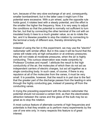turn, because of the very slow exchange of air and, consequently, smaller bombardment; but in the latter case it might turn if the potential were excessive. With a pin wheel, quite the opposite rule holds good; it rotates best with a steady potential, and the effort is the smaller the higher the frequency. Now, it is very easy to adjust the conditions so that the potential is normally not sufficient to turn the fan, but that by connecting the other terminal of the coil with an insulated body it rises to a much greater value, so as to rotate the fan, and it is likewise possible to stop the rotation by connecting to the terminal a body of different size, thereby diminishing the potential.

Instead of using the fan in this experiment, we may use the "electric" radiometer with similar effect. But in this case it will be found that the vanes will rotate only at high exhaustion or at ordinary pressures; they will not rotate at moderate pressures, when the air is highly conducting. This curious observation was made conjointly by Professor Crookes and myself. I attribute the result to the high conductivity of the air, the molecules of which then do not act as independent carriers of electric charges, but act all together as a single conducting body. In such case, of course, if there is any repulsion at all of the molecules from the vanes, it must be very small. It is possible, however, that the result is in part due to the fact that the greater part of the discharge passes from the leading-in wire through the highly conducting gas, instead of passing off from the conducting vanes.

In trying the preceding experiment with the electric radiometer the potential should not exceed a certain limit, as then the electrostatic attraction between the vanes and the glass of the bulb may be so great as to stop the rotation.

A most curious feature of alternate currents of high frequencies and potentials is that they enable us to perform many experiments by the use of one wire only. In many respects this feature is of great nterest.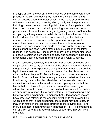In a type of alternate current motor invented by me some years ago I produced rotation by inducing, by means of a single alternating current passed through a motor circuit, in the mass or other circuits of the motor, secondary currents, which, jointly with the primary or inducing current, created a moving field of force. A simple but crude form of such a motor is obtained by winding upon an iron core a primary, and close to it a secondary coil, joining the ends of the latter and placing a freely movable metal disc within the influence of the field produced by both. The iron core is employed for obvious reasons, but it is not essential to the operation. To improve the motor, the iron core is made to encircle the armature. Again to improve, the secondary coil is made to overlap partly the primary, so that it cannot free itself from a strong inductive action of the latter, repel its lines as it may. Once more to improve, the proper difference of phase is obtained between the primary and secondary currents by a condenser, self-induction, resistance or equivalent windings.

I had discovered, however, that rotation is produced by means of a single coil and core; my explanation of the phenomenon, and leading thought in trying the experiment, being that there must be a true time lag in the magnetization of the core. I remember the pleasure I had when, in the writings of Professor Ayrton, which came later to my hand, I found the idea of the time lag advocated. Whether there is a true time lag, or whether the retardation is due to eddy currents circulating in minute paths, must remain an open question, but the fact is that a coil wound upon an iron core and traversed by an alternating current creates a moving field of force, capable of setting an armature in rotation. It is of some interest, in conjunction with the historical Arago experiment, to mention that in lag or phase motors I have produced rotation in the opposite direction to the moving field, which means that in that experiment the magnet may not rotate, or may even rotate in the opposite direction to the moving disc. Here, then, is a motor (diagrammatically illustrated in Fig. 17), comprising a coil and iron core, and a freely movable copper disc in proximity to the latter.

FIG. 17.—SINGLE WIRE AND "NO-WIRE" MOTOR.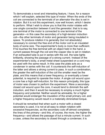To demonstrate a novel and interesting feature, I have, for a reason which I will explain, selected this type of motor. When the ends of the coil are connected to the terminals of an alternator the disc is set in rotation. But it is not this experiment, now well known, which I desire to perform. What I wish to show you is that this motor rotates with *one single* connection between it and the generator; that is to say, one terminal of the motor is connected to one terminal of the generator—in this case the secondary of a high-tension induction coil—the other terminals of motor and generator being insulated in space. To produce rotation it is generally (but not absolutely) necessary to connect the free end of the motor coil to an insulated body of some size. The experimenter's body is more than sufficient. If he touches the free terminal with an object held in the hand, a current passes through the coil and the copper disc is set in rotation. If an exhausted tube is put in series with the coil, the tube lights brilliantly, showing the passage of a strong current. Instead of the expermenter's body, a small metal sheet suspended on a cord may be used with the same result. In this case the plate acts as a condenser in series with the coil. It counteracts the self-induction of the latter and allows a strong current to pass. In such a combination, the greater the self-induction of the coil the smaller need be the plate, and this means that a lower frequency, or eventually a lower potential, is required to operate the motor. A single coil wound upon a core has a high self-induction; for this reason principally, this type of motor was chosen to perform the experment. Were a secondary closed coil wound upon the core, it would tend to diminish the selfinduction, and then it would be necessary to employ a much higher frequency and potential. Neither would be advisable, for a higher potential would endanger the insulation of the small primary coil, and a higher frequency would result in a materially diminished torque.

It should be remarked that when such a motor with a closed secondary is used, it is not at all easy to obtain rotation with excessive frequencies, as the secondary cuts off almost completely the lines of the primary—and this, of course, the more, the higher the frequency—and allows the passage of but a minute current. In such a case, unless the secondary is closed through a condenser, it is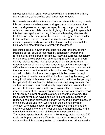almost essential, in order to produce rotation, to make the primary and secondary coils overlap each other more or less.

But there is an additional feature of interest about this motor, namely, it is not necessary to have even a single connection between the motor and generator, except, perhaps, through the ground: for not only is an insulated plate capable of giving off energy into space, but it is likewise capable of deriving it from an alternating electrostatic field, though in the latter case the available energy is much smaller. In this instance one of the motor terminals is connected to the insulated plate or body located within the alternating electrostatic field, and the other terminal preferably to the ground.

It is quite possible, however, that such "no-wire" motors, as they might be called, could be operated by conduction through the rarefied air at considerable distances. Alternate currents, especially of high frequencies, pass with astonishing freedom through even slightly rarefied gases. The upper strata of the air are rarefied. To reach a number of miles out into space requires the overcoming of difficulties of a merely mechanical nature. There is no doubt that with the enormous potentials obtainable by the use of high frequencies and oil insulation luminous discharges might be passed through many miles of rarefied air, and that, by thus directing the energy of many hundreds or thousands of horse-power, motors or lamps mght be operated at considerable distances from stationary sources. But such schemes are mentioned merely as possibilities. We shall have no need to transmit power in this way. We shall have no need to *transmit* power at all. Ere many generations pass, our machinery will be driven by a power obtainable at any point of the universe. This idea is not novel. Men have been led to it long ago by instinct or reason. It has been expressed in many ways, and in many places, in the history of old and new. We find it in the delightful myth of Antheus, who derives power from the earth; we find it among the subtile speculations of one of your splendid mathematicians, and in many hints and statements of thinkers of the present time. Throughout space there is energy. Is this energy static or kinetic? If static our hopes are in vain; if kinetic—and this we know it is, for certain—then it is a mere question of time when men will succeed in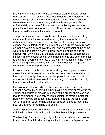attaching their machinery to the very wheelwork of nature. Of all, living or dead, Crookes came nearest to doing it. His radiometer will turn in the light of day and in the darkness of the night; it will turn everywhere where there is heat, and heat is everywhere. But, unfortunately, this beautiful little machine, while it goes down to posterity as the most interesting, must likewise be put on record as the most inefficient machine ever invented!

The preceding experiment is only one of many equally interesting experiments which may be performed by the use of only one wire with alternate currents of high potential and frequency. We may connect an insulated line to a source of such currents, we may pass an inappreciable current over the line, and on any point of the same we are able to obtain a heavy current, capable of fusing a thick copper wire. Or we may, by the help of some artifice, decompose a solution in any electrolytic cell by connecting only one pole of the cell to the line or source of energy. Or we may, by attaching to the line, or only bringing into its vicinity, light up an incandescent lamp, an exhausted tube, or a phosphorescent bulb.

However impracticable this plan of working may appear in many cases, it certainly seems practicable, and even recommendable, in the production of light. A perfected lamp would require but little energy, and if wires were used at all we ought to be able to supply that energy without a return wire.

It is now a fact that a body may be rendered incandescent or phosphorescent by bringing it either in single contact or merely in the vicinity of a source of electric impulses of the proper character, and that in this manner a quantity of light sufficient to afford a practical illuminant may be produced. It is, therefore, to say the least, worth while to attempt to determine the best conditions and to invent the best appliances for attaining this object.

Some experiences have already been gained in this direction, and I will dwell on them briefly, in the hope that they might prove useful.

The heating of a conducting body inclosed in a bulb, and connected to a source of rapidly alternating electric impulses, is dependent on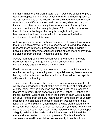so many things of a different nature, that it would be difficult to give a generally applicable rule under which the maximum heating occurs. As regards the size of the vessel, I have lately found that at ordinary or only slightly differing atmospheric pressures, when air is a good insulator, and hence practically the same amount of energy by a certain potential and frequency is given off from the body, whether the bulb be small or large, the body is brought to a higher temperature if inclosed in a small bulb, because of the better confinement of heat in this case.

At lower pressures, when air becomes more or less conducting, or if the air be sufficiently warmed as to become conducting, the body is rendered more intensely incandescent in a large bulb, obviously because, under otherwise equal conditions of test, more energy may be given off from the body when the bulb is large.

At very high degrees of exhaustion, when the matter in the bulb becomes "radiant," a large bulb has still an advantage, but a comparatively slight one, over the small bulb.

Finally, at excessively high degrees of exhaustion, which cannot be reached except by the employment of special means, there seems to be, beyond a certain and rather small size of vessel, no perceptible difference in the heating.

These observations were the result of a number of experiments, of which one, showing the effect of the size of the bulb at a high degree of exhaustion, may be described and shown here, as it presents a feature of interest. Three spherical bulbs of 2 inches, 3 inches and 4 inches diameter were taken, and in the centre of each was mounted an equal length of an ordinary incandescent lamp filament of uniform thickness. In each bulb the piece of filament was fastened to the leading-in wire of platinum, contained in a glass stem sealed in the bulb; care being taken, of course, to make everything as nearly alike as possible. On each glass stem in the inside of the bulb was slipped a highly polished tube made of aluminium sheet, which fitted the stem and was held on it by spring pressure. The function of this aluminium tube will be explained subsequently. In each bulb an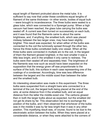equal length of filament protruded above the metal tube. It is sufficient to say now that under these conditions equal lengths of filament of the same thickness—in other words, bodies of equal bulk —were brought to incandescence. The three bulbs were sealed to a glass tube, which was connected to a Sprengel pump. When a high vacuum had been reached, the glass tube carrying the bulbs was sealed off. A current was then turned on successively on each bulb, and it was found that the filaments came to about the same brightness, and, if anything, the smallest bulb, which was placed midway between the two larger ones, may have been slightly brighter. This result was expected, for when either of the bulbs was connected to the coil the luminosity spread through the other two, hence the three bulbs constituted really one vessel. When all the three bulbs were connected in multiple arc to the coil, in the largest of them the filament glowed brightest, in the next smaller it was a little less bright, and in the smallest it only came to redness. The bulbs were then sealed off and separately tried. The brightness of the flaments was now such as would have been expected on the supposition that the energy given off was proportionate to the surface of the bulb, this surface in each case representing one of the coatings of a condenser. Accordingly, time was less difference between the largest and the middle sized than between the latter and the smallest bulb.

An interesting observation was made in this experiment. The three bulbs were suspended from a straight bare wire connected to a terminal of the coil, the largest bulb being placed at the end of the wire, at some distance from it the smallest bulb, and an equal distance from the latter the middle-sized one. The carbons glowed then in both the larger bulbs about as expected, but the smallest did not get its share by far. This observation led me to exchange the position of the bulbs, and I then observed that whichever of the bulbs was in the middle it was by far less bright than it was in any other position. This mystifying result was, of course, found to be due to the electrostatic action between the bulbs. When they were placed at a considerable distance, or when they were attached to the corners of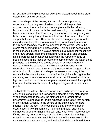an equilateral triangle of copper wire, they glowed about in the order determined by their surfaces.

As to the shape of the vessel, it is also of some importance, especially at high degrees of exhaustion. Of all the possible constructions, it seems that a spherical globe with the refractory body mounted in its centre is the best to employ. In experience it has been demonstrated that in such a globe a refractory body of a given bulk is more easily brought to incandescence than when otherwise shaped bulbs are used. There is also an advantage in giving to the ncandescent body the shape of a sphere, for self-evdent reasons. In any case the body should be mounted in the centre, where the atoms rebounding from the glass collide. This object is best attained in the spherical bulb; but it is also attained in a cylindrical vessel with one or two straight filaments coinciding with its axis, and possibly also in parabolical or spherical bulbs with the refractory body or bodies placed in the focus or foci of the same; though the latter is not probable, as the electrified atoms should in all cases rebound normally from the surface they strike, unless the speed were excessive, in which case they *would* probably follow the general law of reflection. No matter what shape the vessel may have, if the exhaustion be low, a filament mounted in the globe is brought to the same degree of incandescence in all parts; but if the exhaustion be high and the bulb be spherical or pear-shaped, as usual, focal points form and the filament is heated to a higher degree at or near such points.

To illustrate the effect, I have here two small bulbs which are alike, only one is exhausted to a low and the other to a very high degree. When connected to the coil, the filament in the former glows uniformly throughout all its length; whereas in the latter, that portion of the filament which is in the centre of the bulb glows far more intensely than the rest. A curious point is that the phenomenon occurs even if two filaments are mounted in a bulb, each being connected to one terminal of the coil, and, what is still more curious, if they be very near together, provided the vacuum be very high. I noted in experiments with such bulbs that the filaments would give way usually at a certain point, and in the first trials I attributed it to a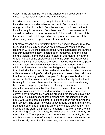defect in the carbon. But when the phenomenon occurred many times in succession I recognized its real cause.

In order to bring a refractory body inclosed in a bulb to incandescence, it is desirable, on account of economy, that all the energy supplied to the bulb from the source should reach without loss the body to be heated; from there, and from nowhere else, it should be radiated. It is, of course, out of the question to reach this theoretical result, but it is possible by a proper construction of the illuminating device to approximate it more or less.

For many reasons, the refractory body is placed in the centre of the bulb, and it is usually supported on a glass stem containing the leading-in wire. As the potential of this wire is alternated, the rarefied gas surrounding the stem is acted upon inductively, and the glass stem is violently bombarded and heated. In this manner by far the greater portion of the energy supplied to the bulb—especially when exceedingly high frequencies are used—may be lost for the purpose contemplated. To obviate this loss, or at least to reduce it to a minimum, I usually screen the rarefied gas surrounding the stem from the inductive action of the leading-in wire by providing the stem with a tube or coating of conducting material. It seems beyond doubt that the best among metals to employ for this purpose is aluminium, on account of its many remarkable properties. Its only fault is that it is easily fusible, and, therefore, its distance from the incandescing body should be properly estimated. Usually, a thin tube, of a diameter somewhat smaller than that of the glass stem, is made of the finest aluminium sheet, and slipped on the stem. The tube is conveniently prepared by wrapping around a rod fastened in a lathe a piece of aluminium sheet of the proper size, grasping the sheet firmly with clean chamois leather or blotting paper, and spinning the rod very fast. The sheet is wound tightly around the rod, and a highly polished tube of one or three layers of the sheet is obtained. When slipped on the stem, the pressure is generally sufficient to prevent it from slipping off, but, for safety, the lower edge of the sheet may be turned inside. The upper inside corner of the sheet—that is, the one which is nearest to the refractory incandescent body—should be cut out diagonally, as it often happens that, in consequence of the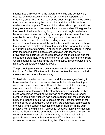intense heat, this corner turns toward the inside and comes very near to, or in contact with, the wire, or filament, supporting the refractory body. The greater part of the energy supplied to the bulb is then used up in heating the metal tube, and the bulb is rendered useless for the purpose. The aluminium sheet should project above the glass stem more or less—one inch or so—or else, if the glass be too close to the incandescing body, it may be strongly heated and become more or less conducting, whereupon it may be ruptured, or may, by its conductivity, establish a good electrical connection between the metal tube and the leading-in wire, in which case, again, most of the energy will be lost in heating the former. Perhaps the best way is to make the top of the glass tube, for about an inch, of a much smaller diameter. To still further reduce the danger arising from the heating of the glass stem, and also with the view of preventing an electrical connection between the metal tube and the electrode, I preferably wrap the stem with several layers of thin mica, which extends at least as far as the metal tube. In some bulbs I have also used an outside insulating cover.

The preceding remarks are only made to aid the experimenter in the first trials, for the difficulties which he encounters he may soon find means to overcome in his own way.

To illustrate the effect of the screen, and the advantage of using it, I have here two bulbs of the same size, with their stems, leading-in wires and incandescent lamp filaments tied to the latter, as nearly alike as possible. The stem of one bulb is provided with an aluminium tube, the stem of the other has none. Originally the two bulbs were joined by a tube which was connected to a Sprengel pump. When a high vacuum had been reached, first the connecting tube, and then the bulbs, were sealed off; they are therefore of the same degree of exhaustion. When they are separately connected to the coil giving a certain potential, the carbon filament in the bulb provided with the aluminium screen is rendered highly incandescent, while the filament in the other bulb may, with the same potential, not even come to redness, although in reality the latter bulb takes generally more energy than the former. When they are both connected together to the terminal, the difference is even more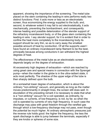apparent, showing the importance of the screening. The metal tube placed on the stem containing the leading-in wire performs really two distinct functions: First: it acts more or less as an electrostatic screen, thus economizing the energy supplied to the bulb; and, second, to whatever extent it may fail to act electrostatically, it acts mechanically, preventing the bombardment, and consequently intense heating and possible deterioration of the slender support of the refractory incandescent body, or of the glass stem containing the leading-in wire. I say *slender* support, for it is evident that in order to confine the heat more completely to the incandescing body its support should be very thin, so as to carry away the smallest possible amount of heat by conduction. Of all the supports used I have found an ordinary incandescent lamp filament to be the best, principally because among conductors it can withstand the highest degrees of heat.

The effectiveness of the metal tube as an electrostatic screen depends largely on the degree of exhaustion.

At excessively high degrees of exhaustion—which are reached by using great care and special means in connection with the Sprengel pump—when the matter in the globe is in the ultra-radiant state, it acts most perfectly. The shadow of the upper edge of the tube is then sharply defined upon the bulb.

At a somewhat lower degree of exhaustion, which is about the ordinary "non-striking" vacuum, and generally as long as the matter moves predominantly in straight lines, the screen still does well. In elucidation of the preceding remark it is necessary to state that what is a "non-striking" vacuum for a coil operated, as ordinarily, by impulses, or currents, of low-frequency, is not, by far, so when the coil is operated by currents of very high frequency. In such case the discharge may pass with great freedom through the rarefied gas through which a low-frequency discharge may not pass, even though the potential be much higher. At ordinary atmospheric pressures just the reverse rule holds good: the higher the frequency, the less the spark discharge is able to jump between the terminals, especially if they are knobs or spheres of some size.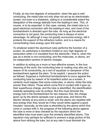Finally, at very low degrees of exhaustion, when the gas is well conducting, the metal tube not only does not act as an electrostatic screen, but even is a drawback, aiding to a considerable extent the dissipation of the energy laterally from the leading-in wire. This, of course, is to be expected. In this case, namely, the metal tube is in good electrical connection with the leading-in wire, and most of the bombardment is directed upon the tube. As long as the electrical connection is not good, the conducting tube is always of some advantage, for although it may not greatly economize energy, still it protects the support of the refractory button, and is a means for concentrating more energy upon the same.

To whatever extent the aluminium tube performs the function of a screen, its usefulness is therefore limited to very high degrees of exhaustion when it is insulated from the electrode—that is, when the gas as a whole is non-conducting, and the molecules, or atoms, act as independent carriers of electric charges.

In addition to acting as a more or less effective screen, in the true meaning of the word, the conducting tube or coating may also act, by reason of its conductivity, as a sort of equalizer or dampener of the bombardment against the stem. To be explicit, I assume the action as follows: Suppose a rhythmical bombardment to occur against the conducting tube by reason of its imperfect action as a screen, it certainly must happen that some molecules, or atoms, strike the tube sooner than others. Those which come first in contact with it give up their superfluous charge, and the tube is electrified, the electrification instantly spreading over its surface. But this must diminish the energy lost in the bombardment for two reasons: first, the charge given up by the atoms spreads over a great area, and hence the electric density at any point is small, and the atoms are repelled with less energy than they would be if they would strike against a good insulator: secondly, as the tube is electrified by the atoms which first come in contact with it, the progress of the following atoms against the tube is more or less checked by the repulsion which the electrified tube must exert upon the similarly electrified atoms. This repulsion may perhaps be sufficient to prevent a large portion of the atoms from striking the tube, but at any rate it must diminish the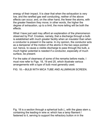energy of their impact. It is clear that when the exhaustion is very low, and the rarefied gas well conducting, neither of the above effects can occur, and, on the other hand, the fewer the atoms, wth the greater freedom they move; in other words, the higher the degree of exhaustion, up to a limit, the more telling will be both the effects.

What I have just said may afford an explanation of the phenomenon observed by Prof. Crookes, namely, that a discharge through a bulb is established with much greater facility when an insulator than when a conductor is present in the same. In my opinion, the conductor acts as a dampener of the motion of the atoms in the two ways pointed out; hence, to cause a visible discharge to pass through the bulb, a much higher potential is needed if a conductor, especially of much surface, be present.

For the sake of clearness of some of the remarks before made, I must now refer to Figs. 18, 19 and 20, which illustrate various arrangements wth a type of bulb most generally used.

FIG. 18.—BULB WITH MICA TUBE AND ALUMINIUM SCREEN.

Fig. 18 is a section through a spherical bulb *L*, with the glass stem *s*, containing the leading-in wire *w*; which has a lamp filament *l* fastened to it, serving to support the refractory button *m* in the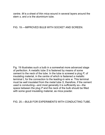centre. *M* is a sheet of thin mica wound in several layers around the stem *s*, and *a* is the aluminium tube.

FIG. 19.—IMPROVED BULB WITH SOCKET AND SCREEN.

Fig. 19 illustrates such a bulb in a somewhat more advanced stage of perfection. A metallic tube S is fastened by means of some cement to the neck of the tube. In the tube is screwed a plug P, of insulating material, in the centre of which is fastened a metallic terminal *t*, for the connection to the leading-in wire *w*. This terminal must be well insulated from the metal tube *S*, therefore, if the cement used is conducting—and most generally it is sufficiently so—the space between the plug *P* and the neck of the bulb should be flled with some good insulating material, as mica powder.

FIG. 20.—BULB FOR EXPERIMENTS WITH CONDUCTING TUBE.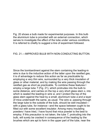Fig. 20 shows a bulb made for experimental purposes. In this bulb the aluminium tube is provided with an external connection, which serves to investigate the effect of the tube under various conditions. It is referred to chiefly to suggest a line of experiment followed.

### FIG. 21.—IMPROVED BULB WITH NON-CONDUCTING BUTTON.

Since the bombardment against the stem containing the leading-in wire is due to the inductive action of the latter upon the rarefied gas, it is of advantage to reduce this action as far as practicable by employing a very thin wire, surrounded by a very thick insulation of glass or other material, and by making the wire passing through the rarefied gas as short as practicable. To combine these features I employ a large tube  $T$  (Fig. 21), which protrudes into the bulb to some distance, and carries on the top a very short glass stem s, into which is sealed the leading-in wire *w*, and I protect the top of the glass stem against the heat by a small, aluminium tube a and a layer of mica underneath the same, as usual. The wire *w*, passing through the large tube to the outside of the bulb, should be well insulated with a glass tube, for instance—and the space between ought to be filled out with some excellent insulator. Among many insulating powders I have tried, I have found that mica powder is the best to employ. If this precaution is not taken, the tube  $T$ , protruding into the bulb, will surely be cracked in consequence of the heating by the brushes which are apt to form in the upper part of the tube, near the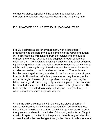exhausted globe, especially if the vacuum be excellent, and therefore the potential necessary to operate the lamp very high.

#### FIG. 22.—TYPE OF BULB WITHOUT LEADING-IN WIRE.

Fig. 22 illustrates a similar arrangement, with a large tube T protruding in to the part of the bulb containing the refractors button *m*. In this case the wire leading from the outside into the bulb is omitted, the energy required being supplied through condenser coatings *C* C. The insulating packing *P* should in this construction be tightly fitting to the glass, and rather wide, or otherwise the discharge might avoid passing through the wire *w*, which connects the inside condenser coating to the incandescent button *m*. The molecular bombardment against the glass stem in the bulb is a source of great trouble. As illustration I will cite a phenomenon only too frequently and unwillingly observed. A bulb, preferably a large one, may be taken, and a good conducting body, such as a piece of carbon, may be mounted in it upon a platinum wire sealed in the glass stem. The bulb may be exhausted to a fairly high degree, nearly to the point when phosphorescence begins to appear.

When the bulb is connected with the coil, the piece of carbon, if small, may become highly incandescent at first, but its brightness immediately diminishes, and then the discharge may break through the glass somewhere in the middle of the stem, in the form of bright sparks, in spite of the fact that the platinum wire is in good electrical connection with the rarefied gas through the piece of carbon or metal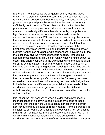at the top. The first sparks are singularly bright, recalling those drawn from a clear surface of mercury. But, as they heat the glass rapidly, they, of course, lose their brightness, and cease when the glass at the ruptured place becomes incandescent, or generally sufficiently hot to conduct. When observed for the first time the phenomenon must appear very curious, and shows in a striking manner how radically different alternate currents, or impulses, of high frequency behave, as compared with steady currents, or currents of low frequency. With such currents—namely, the latter the phenomenon would of course not occur. When frequencies such as are obtained by mechanical means are used, I think that the rupture of the glass is more or less the consequence of the bombardment, which warms it up and impairs its insulating power; but with frequencies obtainable with condensers I have no doubt that the glass may give way without previous heating. Although this appears most singular at first, it is in reality what we might expect to occur. The energy supplied to the wire leading into the bulb is given off partly by direct action through the carbon button, and partly by inductive action through the glass surrounding the wire. The case is thus analogous to that in which a condenser shunted by a conductor of low resistance is connected to a source of alternating currents. As long as the frequencies are low, the conductor gets the most, and the condenser is perfectly safe: but when the frequency becomes excessive, the *rôle* of the conductor may become quite insignificant. In the latter case the difference of potential at the terminals of the condenser may become so great as to rupture the dielectric, notwithstanding the fact that the terminals are joined by a conductor of low resstance.

It is, of course, not necessary, when it is desired to produce the incandescence of a body inclosed in a bulb by means of these currents, that the body should be a conductor, for even a perfect non-conductor may be quite as readily heated. For this purpose it is sufficient to surround a conducting electrode with a non-conducting material, as, for instance, in the bulb described before in Fig. 21, in which a thin incandescent lamp filament is coated with a nonconductor, and supports a button of the same material on the top. At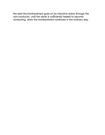the start the bombardment goes on by inductive action through the non-conductor, until the same is sufficiently heated to become conducting, when the bombardment continues in the ordinary way.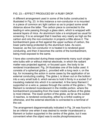# FIG. 23.—EFFECT PRODUCED BY A RUBY DROP.

A different arrangement used in some of the bulbs constructed is illustrated in Fig. 23. In this instance a non-conductor *m* is mounted in a piece of common arc light carbon so as to project some small distance above the latter. The carbon piece is connected to the leading-in wire passing through a glass stem, which is wrapped with several layers of mica. An aluminium tube *a* is employed as usual for screening. It is so arranged that it reaches very nearly as high as the carbon and only the non-conductor *m* projects a little above it. The bombardment goes at first against the upper surface of carbon, the lower parts being protected by the aluminium tube. As soon, however, as the non-conductor *m* is heated it is rendered good conducting, and then it becomes the centre of the bombardment, being most exposed to the same.

I have also constructed during these experiments many such singlewire bulbs with or without internal electrode, in which the radiant matter was projected against, or focused upon, the body to be rendered incandescent. Fig. 24 illustrates one of the bulbs used. It consists of a spherical globe *L*, provided with a long neck *n*, on the top, for increasing the action in some cases by the application of an external conducting coating. The globe *L* is blown out on the bottom into a very small bulb *b*, which serves to hold it firmly in a socket *S* of insulating material into which it is cemented. A fine lamp filament *f*, supported on a wire *w*, passes through the centre of the globe *L*. The filament is rendered incandescent in the middle portion, where the bombardment proceeding from the lower inside surface of the globe is most intense. The lower portion of the globe, as far as the socket *S* reaches, is rendered conducting, either by a tinfoll coating or otherwise, and the external electrode is connected to a terminal of the col.

The arrangement diagrammatically indicated in Fig. 24 was found to be an inferior one when it was desired to render incandescent a filament or button supported in the centre of the globe, but it was convenient when the object was to excite phosphorescence.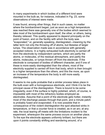In many experiments in which bodies of a different kind were mounted in the bulb as, for instance, indicated in Fig. 23, some observations of interest were made.

It was found, among other things, that in such cases, no matter where the bombardment began, just as soon as a high temperature was reached there was generally one of the bodies which seemed to take most of the bombardment upon itself, the other, or others, being thereby relieved. This quality appeared to depend principally on the point of fusion, and on the facility with which the body was "evaporated," or, generally speaking, disintegrated—meaning by the latter term not only the throwing off of atoms, but likewise of larger lumps. The observation made was in accordance with generally accepted notions. In a highly exhausted bulb electricity is carried off from the electrode by independent carriers, which are partly the atoms, or molecules, of the resdual atmosphere, and partly the atoms, molecules, or lumps thrown off from the electrode. If the electrode is composed of bodies of different character, and if one of these is more easily disintegrated than the others, most of the electricity supplied is carried off from that body, which is then brought to a higher temperature than the others, and this the more, as upon an increase of the temperature the body is still more easily disintegrated.

It seems to me quite probable that a similar process takes place in the bulb even with a homogeneous electrode, and I think it to be the principal cause of the disintegration. There is bound to be some irregularity, even if the surface is highly polished, which, of course, is impossible with most of the refractory bodies employed as electrodes. Assume that a point of the electrode gets hotter, instantly most of the discharge passes through that point, and a minute patch is probably fused and evaporated. It is now possible that in consequence of the violent disintegration the spot attacked sinks in temperature, or that a counter force is created, as in an arc; at any rate, the local tearing off meets with the limitations incident to the experment, whereupon the same process occurs on another place. To the eye the electrode appears uniformly brilliant, but there are upon it points constantly shifting and wandering around, of a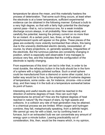temperature far above the mean, and this materially hastens the process of deterioration. That some such thing occurs, at least when the electrode is at a lower temperature, sufficient experimental evidence can be obtained in the following manner: Exhaust a bulb to a very high degree, so that with a fairly high potential the discharge cannot pass—that is, not a *luminous* one, for a weak invisible discharge occurs always, in all probability. Now raise slowly and carefully the potential, leaving the primary current on no more than for an instant. At a certain point, two, three, or half a dozen phosphorescent spots wll appear on the globe. These places of the glass are evidently more violently bombarded than others, this being due to the unevenly distributed electric density, necessitated, of course, by sharp projections, or, generally speaking, irregularities of the electrode. But the luminous patches are constantly changing in position, which is especially well observable if one manages to produce very few, and this indicates that the configuration of the electrode is rapidly changing.

From experiences of this kind I am led to infer that, in order to be most durable, the refractory button in the bulb should be in the form of a sphere with a highly polished surface. Such a small sphere could be manufactured from a diamond or some other crystal, but a better way would be to fuse, by the employment of extreme degrees of temperature, some oxide—as, for instance, zirconia—into a small drop, and then keep it in the bulb at a temperature somewhat below its point of fusion.

Interesting and useful results can no doubt be reached in the direction of extreme degrees of heat. How can such high temperatures be arrived at? How are the highest degrees of heat reached in nature? By the impact of stars, by high speeds and collisions. In a collision any rate of heat generation may be attained. In a chemical process we are limited. When oxygen and hydrogen combine, they fall, metaphorically speaking, from a definite height. We cannot go very far with a blast, nor by confining heat in a furnace, but in an exhausted bulb we can concentrate any amount of energy upon a minute button. Leaving practicability out of consideration, this, then, would be the means which, in my opinion,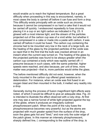would enable us to reach the highest temperature. But a great difficulty when proceeding in this way is encountered, namely, in most cases the body is carried off before it can fuse and form a drop. This difficulty exists principally with an oxide such as zirconia, because it cannot be compressed in so hard a cake that it would not be carried off quickly. I endeavored repeatedly to fuse zirconia, placing it in a cup or arc light carbon as indicated in Fig. 23. It glowed with a most intense light, and the stream of the particles projected out of the carbon cup was of a vivid white: but whether it was compressed in a cake or made into a paste with carbon, it was carried off before it could be fused. The carbon cup containing the zirconia had to be mounted very low in the neck of a large bulb, as the heating of the glass by the projected particles of the oxide was so rapid that in the first trial the bulb was cracked almost in an instant when the current was turned on. The heating of the glass by the projected particles was found to be always greater when the carbon cup contained a body which was rapidly carried offpresume because in such cases, with the same potential, higher speeds were reached, and also because, per unit of time, more matter was projected—that is, more particles would strike the glass.

The before mentioned difficulty did not exist, however, when the body mounted in the carbon cup offered great resistance to deterioration. For instance, when an oxide was first fused in an oxygen blast and then mounted in the bulb, it melted very readily into a drop.

Generally during the process of fusion magnificent light effects were noted, of which it would be difficult to give an adequate idea. Fig. 23 is intended to illustrate the effect observed with a ruby drop. At first one may see a narrow funnel of white light projected against the top of the globe, where it produces an irregularly outlined phosphorescent patch. When the point of the ruby fuses the phosphorescence becomes very powerful; but as the atoms are projected wth much greater speed from the surface of the drop, soon the glass gets hot and "tired," and now only the outer edge of the patch glows. In this manner an intensely phosphorescent, sharply defined line, *l*, corresponding to the outline of the drop, is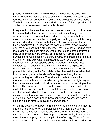produced, which spreads slowly over the globe as the drop gets larger. When the mass begins to boil, small bubbles and cavities are formed, which cause dark colored spots to sweep across the globe. The bulb may be turned downward without fear of the drop falling off, as the mass possesses considerable viscosity.

I may mention here another feature of some interest, which I believe to have noted in the course of these experiments, though the observations do not amount to a certitude. It *appeared* that under the molecular impact caused by the rapidly alternating potential the body was fused and maintained in that state at a lower temperature in a highly exhausted bulb than was the case at normal pressure and application of heat in the ordinary way—that is, at least, judging from the quantity of the light emitted. One of the experiments performed may be mentioned here by way of illustration. A small piece of pumice stone was stuck on a platinum wire, and first melted to it in a gas burner. The wire was next placed between two pieces of charcoal and a burner applied so as to produce an intense heat, sufficient to melt down the pumice stone into a small glass-like button. The platinum wire had to be taken of sufficient thickness to prevent its melting in the fire. While in the charcoal fire, or when held in a burner to get a better idea of the degree of heat, the button glowed with great brilliancy. The wire with the button was then mounted in a bulb, and upon exhausting the same to a high degree, the current was turned on slowly so as to prevent the cracking of the button. The button was heated to the point of fusion, and when it melted it did not, apparently, glow with the same brilliancy as before, and this would indicate a lower temperature. Leaving out of consideration the observer's possible, and even probable, error, the question is, can a body under these conditions be brought from a solid to a liquid state with evolution of *less* light?

When the potential of a body is rapidly alternated it is certain that the structure is jarred. When the potential is very high, although the vibrations may be few—say 20,000 per second—the effect upon the structure may be considerable. Suppose, for example, that a ruby is melted into a drop by a steady application of energy. When it forms a drop it will emit visible and invisible waves, which will be in a definite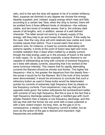ratio, and to the eye the drop will appear to be of a certain brilliancy. Next, suppose we diminish to any degree we choose the energy steadily supplied, and, instead, supply energy which rises and falls according to a certain law. Now, when the drop is formed, there will be emitted from it three different kinds of vibrations—the ordinary visible, and two kinds of invisible waves: that is, the ordinary dark waves of all lengths, and, in addition, waves of a well defined character. The latter would not exist by a steady supply of the energy; still they help to jar and loosen the structure. If this really be the case, then the ruby drop will emit relatively less visible and more invisible waves than before. Thus it would seem that when a platinum wire, for instance, is fused by currents alternating with extreme rapidity, it emits at the point of fusion less light and more invisible radiation than it does when melted by a steady current, though the total energy used up in the process of fusion is the same in both cases. Or, to cite another example, a lamp filament is not capable of withstanding as long with currents of extreme frequency as it does with steady currents, assuming that it be worked at the same luminous intensity. This means that for rapidly alternating currents the filament should be shorter and thicker. The higher the frequency—that is, the greater the departure from the steady flow the worse it would be for the filament. But if the truth of this remark were demonstrated, it would be erroneous to conclude that such a refractory button as used in these bulbs would be deteriorated quicker by currents of extremely high frequency than by steady or low frequency currents. From experience I may say that just the opposte holds good: the button wthstands the bombardment better with currents of very high frequency. But this is due to the fact that a high frequency discharge passes through a rarefied gas with much greater freedom than a steady or low frequency discharge, and this will say that with the former we can work with a lower potential or with a less violent impact. As long, then, as the gas is of no consequence, a steady or low frequency current is better; but as soon as the action of the gas is desired and important, high frequencies are preferable.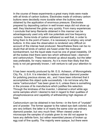In the course of these experiments a great many trials were made with all kinds of carbon buttons. Electrodes made of ordinary carbon buttons were decidedly more durable when the buttons were obtained by the application of enormous pressure. Electrodes prepared by depositing carbon in well known ways did not show up well; they blackened the globe very quickly. From many experiences I conclude that lamp filaments obtained in this manner can be advantageously used only with low potentials and low frequency currents. Some kinds of carbon withstand so well that, in order to bring them to the point of fusion, it is necessary to employ very small buttons. In this case the observation is rendered very difficult on account of the intense heat produced. Nevertheless there can be no doubt that all kinds of carbon are fused under the molecular bombardment, but the liquid state must be one of great instability. Of all the bodies tried there were two which withstood best—diamond and carborundum. These two showed up about equally, but the latter was preferable, for many reasons. As it is more than likely that this body is not yet generally known, I will venture to call your attention to t.

It has been recently produced by Mr. E.G. Acheson, of Monongahela City, Pa., U.S.A. It is intended to replace ordinary diamond powder for polishing precious stones, etc., and I have been informed that it accomplishes this object quite successfully. I do not know why the name "carborundum" has been given to it, unless there is something in the process of its manufacture which justifies this selection. Through the kindness of the inventor, I obtained a short while ago some samples which I desired to test in regard to their qualities of phosphorescence and capability of withstanding high degrees of heat.

Carborundum can be obtained in two forms—in the form of "crystals" and of powder. The former appear to the naked eye dark colored, but are very brilliant; the latter is of nearly the same color as ordinary diamond powder, but very much finer. When viewed under a microscope the samples of crystals given to me did not appear to have any definite form, but rather resembled pieces of broken up egg coal of fine quality. The majority were opaque, but there were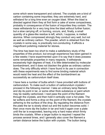some which were transparent and colored. The crystals are a kind of carbon containing some impurities; they are extremely hard, and withstand for a long time even an oxygen blast. When the blast is directed against them they at first form a cake of some compactness, probably in consequence of the fusion of impurities they contain. The mass withstands for a very long time the blast without further fusion; but a slow carrying off, or burning, occurs, and, finally, a small quantity of a glass-like residue is left, which, I suppose, is melted alumina. When compressed strongly they conduct very well, but not as well as ordinary carbon. The powder, which is obtained from the crystals in some way, is practically non-conducting. It affords a magnificent polishing material for stones.

The time has been too short to make a satisfactory study of the properties of this product, but enough experience has been gained in a few weeks I have experimented upon it to say that it does possess some remarkable properties in many respects. It withstands excessively high degrees of heat, it is little deteriorated by molecular bombardment, and it does not blacken the globe as ordinary carbon does. The only difficulty which I have found in its use in connection with these experiments was to find some binding material which would resist the heat and the effect of the bombardment as successfully as carborundum itself does.

I have here a number of bulbs which I have provided with buttons of carborundum. To make such a button of carborundum crystals I proceed in the following manner: I take an ordinary lamp filament and dip its point in tar, or some other thick substance or paint which may be readily carbonized. I next pass the point of the filament through the crystals, and then hold it vertically over a hot plate. The tar softens and forms a drop on the point of the filament, the crystals adhering to the surface of the drop. By regulating the distance from the plate the tar is slowly dried out and the button becomes solid. I then once more dip the button in tar and hold it again over a plate until the tar is evaporated, leaving only a hard mass which firmly binds the crystals. When a larger button is required I repeat the process several tmes, and I generally also cover the flament a certain distance below the button with crystals. The button being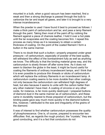mounted in a bulb, when a good vacuum has been reached, first a weak and then a strong discharge is passed through the bulb to carbonize the tar and expel all gases, and later it is brought to a very intense incandescence.

When the powder is used I have found it best to proceed as follows: I make a thick paint of carborundum and tar, and pass a lamp filament through the paint. Taking then most of the paint off by rubbing the filament against a piece of chamois leather, I hold it over a hot plate until the tar evaporates and the coating becomes firm. I repeat this process as many times as it is necessary to obtain a certain thickness of coating. On the point of the coated filament I form a button in the same manner.

There is no doubt that such a button—properly prepared under great pressure—of carborundum, especially of powder of the best quality, will withstand the effect of the bombardment fully as well as anything we know. The difficulty is that the binding material gives way, and the carborundum is slowly thrown off after some time. As it does not seem to blacken the globe in the least, it might be found useful for coating the filaments of ordinary incandescent lamps, and I think that it is even possible to produce thin threads or sticks of carborundum which will replace the ordinary filaments in an incandescent lamp. A carborundum coating seems to be more durable than other coatings, not only because the carborundum can withstand high degrees of heat, but also because it seems to unite with the carbon better than any other material I have tried. A coating of zirconia or any other oxide, for instance, is far more quickly destroyed. I prepared buttons of diamond dust in the same manner as of carborundum, and these came in durability nearest to those prepared of carborundum, but the binding paste gave way much more quickly in the diamond buttons: this, however, I attributed to the size and irregularity of the grains of the diamond

It was of interest to find whether carborundum possesses the quality of phosphorescence. One is, of course, prepared to encounter two difficulties: first, as regards the rough product, the "crystals," they are good conducting, and it is a fact that conductors do not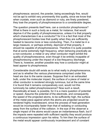phosphoresce; second, the powder, being exceedingly fine, would not be apt to exhibit very prominently this quality, since we know that when crystals, even such as diamond or ruby, are finely powdered, they lose the property of phosphorescence to a consderable degree.

The question presents itself here, can a conductor phosphoresce? What is there in such a body as a metal, for instance, that would deprive it of the quality of phosphorescence, unless it is that property which characterizes it as a conductor? for it is a fact that most of the phosphorescent bodies lose that quality when they are sufficiently heated to become more or less conducting. Then, if a metal be in a large measure, or perhaps entirely, deprived of that property, it should be capable of phosphorescence. Therefore it is quite possible that at some extremely high frequency, when behaving practically as a non-conductor, a metal or any other conductor might exhibit the quality of phosphorescence, even though it be entirely incapable of phosphorescing under the impact of a low-frequency discharge. There is, however, another possible way how a conductor might at least *appear* to phosphoresce.

Considerable doubt still exists as to what really is phosphorescence, and as to whether the various phenomena comprised under this head are due to the same causes. Suppose that in an exhausted bulb, under the molecular impact, the surface of a piece of metal or other conductor is rendered strongly luminous, but at the same time it is found that it remains comparatively cool, would not this luminosity be called phosphorescence? Now such a result, theoretically at least, is possible, for it is a mere question of potential or speed. Assume the potential of the electrode, and consequently the speed of the projected atoms, to be sufficiently high, the surface of the metal piece against which the atoms are projected would be rendered highly incandescent, since the process of heat generation would be incomparably faster than that of radiating or conducting away from the surface of the collision. In the eye of the observer a single impact of the atoms would cause an instantaneous flash, but if the impacts were repeated with sufficient rapidity they would produce a continuous impression upon his retina. To him then the surface of the metal would appear continuously incandescent and of constant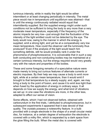luminous intensity, while in reality the light would be either intermittent or at least changing periodically in intensity. The metal piece would rise in temperature until equilibrium was attained—that is until the energy continuously radiated would equal that intermittently supplied. But the supplied energy might under such conditions not be sufficient to bring the body to any more than a very moderate mean temperature, especially if the frequency of the atomic impacts be very low—just enough that the fluctuation of the intensity of the light emitted could not be detected by the eye. The body would now, owing to the manner in which the energy is supplied, emit a strong light, and yet be at a comparatively very low mean temperature. How could the observer call the luminosity thus produced? Even if the analysis of the light would teach him something definite, still he would probably rank it under the phenomena of phosphorescence. It is conceivable that in such a way both conducting and non-conducting bodies may be maintained at a certain luminous intensity, but the energy required would very greatly vary with the nature and properties of the bodies.

These and some foregoing remarks of a speculative nature were made merely to bring out curious features of alternate currents or electric impulses. By their help we may cause a body to emit *more* light, while at a certain mean temperature, than it would emit if brought to that temperature by a steady supply; and, again, we may bring a body to the point of fusion, and cause it to emit *less* light than when fused by the application of energy in ordinary ways. It all depends on how we supply the energy, and what kind of vibrations we set up: in one case the vibrations are more, in the other less, adapted to affect our sense of vision.

Some effects, which I had not observed before, obtained with carborundum in the first trials, I attributed to phosphorescence, but in subsequent experiments it appeared that it was devoid of that quality. The crystals possess a noteworthy feature. In a bulb provided with a single electrode in the shape of a small circular metal disc, for instance, at a certain degree of exhaustion the electrode is covered with a milky film, which is separated by a dark space from the glow filling the bulb. When the metal disc is covered with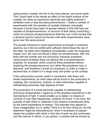carborundum crystals, the film is far more intense, and snow-white. This I found later to be merely an effect of the bright surface of the crystals, for when an aluminium electrode was highly polished it exhibited more or less the same phenomenon. I made a number of experiments with the samples of crystals obtained, principally because it would have been of special interest to find that they are capable of phosphorescence, on account of their being conducting. I could not produce phosphorescence distinctly, but I must remark that a decisive opinion cannot be formed until other experimenters have gone over the same ground.

The powder behaved in some experiments as though it contained alumina, but it did not exhibit with sufficient distinctness the red of the latter. Its dead color brightens considerably under the molecular impact, but I am now convinced it does not phosphoresce. Still, the tests with the powder are not conclusive, because powdered carborundum probably does not behave like a phosphorescent sulphide, for example, which could be finely powdered without impairing the phosphorescence, but rather like powdered ruby or diamond, and therefore it would be necessary, in order to make a decisive test, to obtain it in a large lump and polish up the surface.

If the carborundum proves useful in connection with these and similar experiments, its chief value will be found in the production of coatings, thin conductors, buttons, or other electrodes capable of withstanding extremely high degrees of heat.

The production of a small electrode capable of withstanding enormous temperatures I regard as of the greatest importance in the manufacture of light. It would enable us to obtain, by means of currents of very high frequencies, certainly 20 times, if not more, the quantity of light which is obtained in the present incandescent lamp by the same expenditure of energy. This estimate may appear to many exaggerated, but in reality I think it is far from being so. As this statement might be misunderstood I think it necessary to expose clearly the problem with which in this line of work we are confronted, and the manner in which, in my opinion, a solution will be arrived at.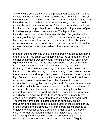Any one who begins a study of the problem will be apt to think that what is wanted in a lamp with an electrode is a very high degree of incandescence of the electrode. There he will be mistaken. The high incandescence of the button is a necessary evil, but what is really wanted is the high incandescence of the gas surrounding the button. In other words, the problem in such a lamp is to bring a mass of gas to the highest possible incandescence. The higher the incandescence, the quicker the mean vibration, the greater is the economy of the light production. But to maintain a mass of gas at a high degree of incandescence in a glass vessel, it will always be necessary to keep the incandescent mass away from the glass; that is, to confine it as much as possible to the central portion of the globe.

In one of the experiments this evening a brush was produced at the end of a wire. This brush was a flame, a source of heat and light. It did not emit much perceptible heat, nor did it glow with an intense light; but is it the less a flame because it does not scorch my hand? Is it the less a flame because it does not hurt my eye by its brilliancy? The problem is precisely to produce in the bulb such a flame, much smaller in size, but incomparably more powerful. Were there means at hand for producing electric impulses of a sufficiently high frequency, and for transmitting them, the bulb could be done away with, unless it were used to protect the electrode, or to economize the energy by confining the heat. But as such means are not at disposal, it becomes necessary to place the terminal in a bulb and rarefy the air in the same. This is done merely to enable the apparatus to perform the work which it is not capable of performing at ordinary air pressure. In the bulb we are able to intensify the action to any degree—so far that the brush emits a powerful light. The intensity of the light emitted depends principally on the frequency and potential of the impulses, and on the electric density of the surface of the electrode. It is of the greatest importance to employ the smallest possible button, in order to push the density very far. Under the violent impact of the molecules of the gas surrounding it, the small electrode is of course brought to an extremely high temperature, but around it is a mass of highly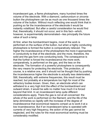incandescent gas, a flame photosphere, many hundred times the volume of the electrode. With a diamond, carborundum or zirconia button the photosphere can be as much as one thousand tmes the volume of the button. Without much reflecting one would think that in pushing so far the incandescence of the electrode it would be instantly volatilized. But after a careful consideration he would find that, theoretically, it should not occur, and in this fact—which, however, is experimentally demonstrated—lies principally the future value of such a lamp.

At first, when the bombardment begins, most of the work is performed on the surface of the button, but when a highly conducting photosphere is formed the button is comparatively relieved. The higher the incandescence of the photosphere the more it approaches in conductivity to that of the electrode, and the more, therefore, the solid and the gas form one conducting body. The consequence is that the further is forced the incandescence the more work, comparatively, is performed on the gas, and the less on the electrode. The formation of a powerful photosphere is consequently the very means for protecting the electrode. This protection, of course, is a relative one, and it should not be thought that by pushing the incandescence higher the electrode is actually less deteriorated. Still, theoretically, with extreme frequencies, this result must be reached, but probably at a temperature too high for most of the refractory bodies known. Given, then, an electrode which can withstand to a very high limit the effect of the bombardment and outward strain, it would be safe no matter how much it is forced beyond that limit. In an incandescent lamp quite different considerations apply. There the gas is not at all concerned: the whole of the work is performed on the filament; and the life of the lamp diminishes so rapidly with the increase of the degree of incandescence that economical reasons compel us to work it at a low incandescence. But if an incandescent lamp is operated with currents of very high frequency, the action of the gas cannot be neglected, and the rules for the most economical working must be considerably modified.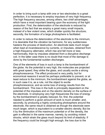In order to bring such a lamp with one or two electrodes to a great perfection, it is necessary to employ impulses of very high frequency. The high frequency secures, among others, two chief advantages, which have a most important bearing upon the economy of the light production. First, the deterioration of the electrode is reduced by reason of the fact that we employ a great many small impacts, instead of a few violent ones, which shatter quickly the structure; secondly, the formation of a large photosphere is facilitated.

In order to reduce the deterioration of the electrode to the minimum, it is desirable that the vibration be harmonic, for any suddenness hastens the process of destruction. An electrode lasts much longer when kept at incandescence by currents, or impulses, obtained from a high-frequency alternator, which rise and fall more or less harmonically, than by impulses obtained from a disruptive discharge coil. In the latter case there is no doubt that most of the damage is done by the fundamental sudden discharges.

One of the elements of loss in such a lamp is the bombardment of the globe. As the potential is very high, the molecules are projected with great speed; they strike the glass, and usually excite a strong phosphorescence. The effect produced is very pretty, but for economical reasons it would be perhaps preferable to prevent, or at least reduce to the minimum, the bombardment against the globe, as in such case it is, as a rule, not the object to excite phosphorescence, and as some loss of energy results from the bombardment. This loss in the bulb is principally dependent on the potential of the impulses and on the electric density on the surface of the electrode. In employing very high frequencies the loss of energy by the bombardment is greatly reduced, for, first, the potential needed to perform a given amount of work is much smaller; and, secondly, by producing a highly conducting photosphere around the electrode, the same result is obtained as though the electrode were much larger, which is equivalent to a smaller electric density. But be it by the diminution of the maximum potential or of the density, the gain is effected in the same manner, namely, by avoiding violent shocks, which strain the glass much beyond its limit of elasticity. If the frequency could be brought high enough, the loss due to the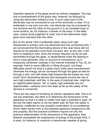imperfect elasticity of the glass would be entirely negligible. The loss due to bombardment of the globe may, however, be reduced by using two electrodes instead of one. In such case each of the electrodes may be connected to one of the terminals; or else, if it is preferable to use only one wire, one electrode may be connected to one terminal and the other to the ground or to an insulated body of some surface, as, for instance, a shade on the lamp. In the latter case, unless some judgment is used, one of the electrodes might glow more intensely than the other.

But on the whole I find it preferable when using such high frequencies to employ only one electrode and one connecting wire. I am convinced that the illuminating device of the near future will not require for its operation more than one lead, and, at any rate, it will have no leading-in wire, since the energy required can be as well transmitted through the glass. In experimental bulbs the leading-in wire is most generally used on account of convenience, as in employing condenser coatings in the manner indicated in Fig. 22, for example, there is some difficulty in fitting the parts, but these difficulties would not exist if a great many bulbs were manufactured; otherwise the energy can be conveyed through the glass as well as through a wire, and with these high frequencies the losses are very small. Such illuminating devices will necessarily involve the use of very high potentials, and this, in the eyes of practical men, might be an objectionable feature. Yet, in reality, high potentials are not objectionable—certainly not in the least as far as the safety of the devices is concerned.

There are two ways of rendering an electric appliance safe. One is to use low potentials, the other is to determine the dimensions of the apparatus so that it is safe no matter how high a potential is used. Of the two the latter seems to me the better way, for then the safety is absolute, unaffected by any possible combination of circumstances which might render even a low-potential appliance dangerous to life and property. But the practical conditions require not only the judicious determination of the dimensions of the apparatus; they likewise necessitate the employment of energy of the proper kind. It is easy, for instance, to construct a transformer capable of giving,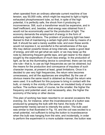when operated from an ordinary alternate current machine of low tension, say 50,000 volts, which might be required to light a highly exhausted phosphorescent tube, so that, in spite of the high potential, it is perfectly safe, the shock from it producing no inconvenience. Still, such a transformer would be expensive, and in itself inefficient; and, besides, what energy was obtained from it would not be economically used for the production of light. The economy demands the employment of energy in the form of extremely rapid vibrations. The problem of producing light has been likened to that of maintaining a certain high-pitch note by means of a bell. It should be said a *barely audible* note; and even these words would not express it, so wonderful is the sensitiveness of the eye. We may deliver powerful blows at long intervals, waste a good deal of energy, and stll not get what we want; or we may keep up the note by delivering frequent gentle taps, and get nearer to the object sought by the expenditure of much less energy. In the production of light, as far as the illuminating device is concerned, there can be only one rule—that is, to use as high frequencies as can be obtained; but the means for the production and conveyance of impulses of such character impose, at present at least, great limitations. Once it is decided to use very high frequencies, the return wire becomes unnecessary, and all the appliances are simplified. By the use of obvious means the same result is obtained as though the return wire were used. It is sufficient for this purpose to bring in contact with the bulb, or merely in the vicinity of the same, an insulated body of some surface. The surface need, of course, be the smaller, the higher the frequency and potential used, and necessarily, also, the higher the economy of the lamp or other device.

This plan of working has been resorted to on several occasions this evening. So, for instance, when the incandescence of a button was produced by grasping the bulb with the hand, the body of the experimenter merely served to intensify the action. The bulb used was similar to that illustrated in Fig. 19, and the coil was excited to a small potential, not sufficient to bring the button to incandescence when the bulb was hanging from the wire; and incidentally, in order to perform the experiment in a more suitable manner, the button was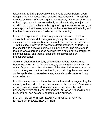taken so large that a perceptible time had to elapse before, upon grasping the bulb, it could be rendered incandescent. The contact with the bulb was, of course, quite unnecessary. It is easy, by using a rather large bulb with an exceedingly small electrode, to adjust the conditions so that the latter is brought to bright incandescence by the mere approach of the experimenter within a few feet of the bulb, and that the incandescence subsides upon his receding.

In another experiment, when phosphorescence was excited, a similar bulb was used. Here again, originally, the potential was not sufficient to excite phosphorescence until the action was intensified  $-$ in this case, however, to present a different feature, by touching the socket with a metallic object held in the hand. The electrode in the bulb was a carbon button so large that it could not be brought to incandescence, and thereby spoil the effect produced by phosphorescence.

Again, in another of the early experiments, a bulb was used as illustrated in Fig. 12. In this instance, by touching the bulb with one or two fingers, one or two shadows of the stem inside were projected against the glass, the touch of the finger producing the same result as the application of an external negative electrode under ordinary circumstances.

In all these experiments the action was intensified by augmenting the capacity at the end of the lead connected to the terminal. As a rule, it is not necessary to resort to such means, and would be quite unnecessary with still higher frequencies; but when it *is* desired, the bulb, or tube, can be easly adapted to the purpose.

FIG. 24.—BULB WITHOUT LEADING-IN WIRE, SHOWING EFFECT OF PROJECTED MATTER.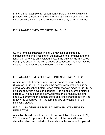In Fig. 24, for example, an experimental bulb *L* is shown, which is provided with a neck *n* on the top for the application of an external tinfoll coating, which may be connected to a body of larger surface.

FIG. 25.—IMPROVED EXPERIMENTAL BULB.

Such a lamp as illustrated in Fig. 25 may also be lighted by connecting the tinfoll coating on the neck *n* to the terminal, and the leading-in wire *w* to an insulated plate. If the bulb stands in a socket upright, as shown in the cut, a shade of conducting material may be slipped in the neck  $n$ , and the action thus magnified.

# FIG. 26.—IMPROVED BULB WITH INTENSIFYING REFLECTOR.

A more perfected arrangement used in some of these bulbs is illustrated in Fig. 26. In this case the construction of the bulb is as shown and described before, when reference was made to Fig. 19. A zinc sheet  $Z$ , with a tubular extension  $T$ , is slipped over the metallic socket *S*. The bulb hangs downward from the terminal *t*, the zinc sheet *Z*, performing the double office of intensifier and reflector. The reflector is separated from the terminal *t* by an extension of the insulating plug P.

FIG. 27.—PHOSPHORESCENT TUBE WITH INTENSIFYING REFLECTOR.

A similar disposition with a phosphorescent tube is illustrated in Fig. 27. The tube T is prepared from two short tubes of a different diameter, which are sealed on the ends. On the lower end is placed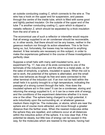an outside conducting coating *C*, which connects to the wire *w*. The wire has a hook on the upper end for suspension, and passes through the centre of the inside tube, which is filled with some good and tightly packed insulator. On the outside of the upper end of the tube  $\tau$  is another conducting coating  $\boldsymbol{c}_1$  upon which is slipped a metallic reflector *Z*, which should be separated by a thick insulation from the end of wire *w*.

The economical use of such a reflector or intensifier would require that all energy supplied to an air condenser should be recoverable, or, in other words, that there should not be any losses, neither in the gaseous medium nor through its action elsewhere. This is far from being so, but, fortunately, the losses may be reduced to anything desired. A few remarks are necessary on this subject, in order to make the experiences gathered in the course of these investigations perfectly clear.

Suppose a small helix with many well insulated turns, as in experiment Fig. 17, has one of its ends connected to one of the terminals of the induction coil, and the other to a metal plate, or, for the sake of simplicity, a sphere, insulated in space. When the coil is set to work, the potential of the sphere is alternated, and the small helix now behaves as though its free end were connected to the other terminal of the induction coil. If an iron rod be held within the small helix it is quickly brought to a high temperature, indicating the passage of a strong current through the helx. How does the insulated sphere act in this case? It can be a condenser, storing and returning the energy supplied to it, or it can be a mere sink of energy, and the conditions of the experiment determine whether it is more one or the other. The sphere being charged to a high potential, it acts inductively upon the surrounding air, or whatever gaseous medium there might be. The molecules, or atoms, which are near the sphere are of course more attracted, and move through a greater distance than the farther ones. When the nearest molecules strike the sphere they are repelled, and collisions occur at all distances within the inductive action of the sphere. It is now clear that, if the potential be steady, but little loss of energy can be caused in this way, for the molecules which are nearest to the sphere, having had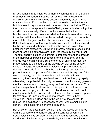an additional charge imparted to them by contact, are not attracted until they have parted, if not with all, at least with most of the additional charge, which can be accomplished only after a great many collisions. From the fact that with a steady potential there is but little loss in dry air, one must come to such a conclusion. When the potential of the sphere, instead of being steady, is alternating, the conditions are entirely different. In this case a rhythmical bombardment occurs, no matter whether the molecules after coming in contact with the sphere lose the imparted charge or not; what is more, if the charge is not lost, the impacts are only the more violent. Still if the frequency of the impulses be very small, the loss caused by the impacts and collisions would not be serious unless the potential were excessive. But when extremely high frequencies and more or less high potentials are used, the loss may be very great. The total energy lost per unit of time is proportionate to the product of the number of mpacts per second, or the frequency and the energy lost in each impact. But the energy of an impact must be proportionate to the square of the electric density of the sphere, since the charge imparted to the molecule is proportionate to that density. I conclude from this that the total energy lost must be proportionate to the product of the frequency and the square of the electric density; but this law needs experimental confirmation. Assuming the preceding considerations to be true, then, by rapidly alternating the potential of a body immersed in an insulating gaseous medium, any amount of energy may be dissipated into space. Most of that energy then, I believe, is not dissipated in the form of long ether waves, propagated to considerable distance, as is thought most generally, but is consumed—in the case of an insulated sphere, for example—in impact and collisional losses—that is, heat vibrations—on the surface and in the vicinity of the sphere. To reduce the dissipation it is necessary to work with a small electric density—the smaller the higher the frequency.

But since, on the assumption before made, the loss is diminished with the square of the density, and since currents of very high frequencies involve considerable waste when transmitted through conductors, it follows that, on the whole, it is better to employ one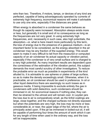wire than two. Therefore, if motors, lamps, or devices of any kind are perfected, capable of being advantageously operated by currents of extremely high frequency, economical reasons will make it advisable to use only one wire, especially if the distances are great.

When energy is absorbed in a condenser the same behaves as though its capacity were increased. Absorption always exists more or less, but generally it is small and of no consequence as long as the frequencies are not very great. In using extremely high frequencies, and, necessarily in such case, also high potentials, the absorption—or, what is here meant more particularly by this term, the loss of energy due to the presence of a gaseous medium—is an important factor to be considered, as the energy absorbed in the air condenser may be any fraction of the supplied energy. This would seem to make it very difficult to tell from the measured or computed capacity of an air condenser its actual capacity or vibration period, especially if the condenser is of very small surface and is charged to a very high potential. As many important results are dependent upon the correctness of the estimation of the vibration period, this subject demands the most careful scrutiny of other investigators. To reduce the probable error as much as possible in experiments of the kind alluded to, it is advisable to use spheres or plates of large surface, so as to make the density exceedingly small. Otherwise, when it is practicable, an oil condenser should be used in preference. In oil or other liquid dielectrics there are seemingly no such losses as in gaseous media. It being impossible to exclude entirely the gas in condensers with solid dielectrics, such condensers should be immersed in oil, for economical reasons if nothing else; they can then be strained to the utmost and will remain cool. In Leyden jars the loss due to air is comparatively small, as the tinfoll coatings are large, close together, and the charged surfaces not directly exposed; but when the potentials are very high, the loss may be more or less considerable at, or near, the upper edge of the foil, where the air is principally acted upon. If the jar be immersed in boiled-out oil, it will be capable of performing four times the amount of work which it can for any length of time when used in the ordinary way, and the loss will be inappreciable.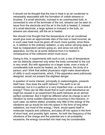It should not be thought that the loss in heat in an air condenser is necessarily associated with the formation of *visible* streams or brushes. If a small electrode, inclosed in an unexhausted bulb, is connected to one of the terminals of the coil, streams can be seen to issue from the electrode and the air in the bulb is heated; if, instead of a small electrode, a large sphere is inclosed in the bulb, no streams are observed, still the air is heated.

Nor should it be thought that the temperature of an air condenser would give even an approximate idea of the loss in heat incurred, as in such case heat must be given off much more quickly, since there is, in addition to the ordinary radiation, a very active carrying away of heat by independent carriers going on, and since not only the apparatus, but the air at some distance from it is heated in consequence of the collisions which must occur.

Owing to this, in experiments with such a coil, a rise of temperature can be distinctly observed only when the body connected to the coil is very small. But with apparatus on a larger scale, even a body of considerable bulk would be heated, as, for instance, the body of a person; and I think that skilled physicians might make observations of utility in such experiments, which, if the apparatus were judiciously designed, would not present the slightest danger.

A question of some interest, principally to meteorologists, presents itself here. How does the earth behave? The earth is an air condenser, but is it a perfect or a very imperfect one—a mere sink of energy? There can be little doubt that to such small disturbance as might be caused in an experiment the earth behaves as an almost perfect condenser. But it might be different when its charge is set in vibration by some sudden disturbance occurring in the heavens. In such case, as before stated, probably only little of the energy of the vibrations set up would be lost into space in the form of long ether radiations, but most of the energy, I think, would spend itself in molecular impacts and collisions, and pass off into space in the form of short heat, and possibly light, waves. As both the frequency of the vibrations of the charge and the potential are in all probability excessive, the energy converted into heat may be considerable.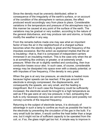Since the density must be unevenly distributed, either in consequence of the irregularity of the earth's surface, or on account of the condition of the atmosphere in various places, the effect produced would accordingly vary from place to place. Considerable variations in the temperature and pressure of the atmosphere may in this manner be caused at any point of the surface of the earth. The variations may be gradual or very sudden, according to the nature of the general disturbance, and may produce rain and storms, or locally modify the weather in any way.

From the remarks before made one may see what an important factor of loss the air in the neighborhood of a charged surface becomes when the electric density is great and the frequency of the impulses excessive. But the action as explained implies that the air is insulating—that is, that it is composed of independent carriers immersed in an insulating medium. This is the case only when the air is at something like ordinary or greater, or at extremely small, pressure. When the air is slightly rarefied and conducting, then true conduction losses occur also. In such case, of course, considerable energy may be dissipated into space even with a steady potential, or with impulses of low frequency, if the density is very great.

When the gas is at very low pressure, an electrode is heated more because higher speeds can be reached. If the gas around the electrode is strongly compressed, the displacements, and consequently the speeds, are very small, and the heating is insignificant. But if in such case the frequency could be sufficiently increased, the electrode would be brought to a high temperature as well as if the gas were at very low pressure; in fact, exhausting the bulb is only necessary because we cannot produce (and possibly not convey) currents of the required frequency.

Returning to the subject of electrode lamps, it is obviously of advantage in such a lamp to confine as much as possible the heat to the electrode by preventing the circulation of the gas in the bulb. If a very small bulb be taken, it would confine the heat better than a large one, but it might not be of sufficient capacity to be operated from the coil, or, if so, the glass might get too hot. A simple way to improve in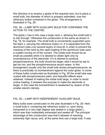this direction is to employ a globe of the required size, but to place a small bulb, the diameter of which is properly estimated, over the refractory button contained in the globe. This arrangement is illustrated in Fig. 28.

# FIG. 28.—LAMP WITH AUXILIARY BULB FOR CONFINING THE ACTION TO THE CENTRE.

The globe *L* has in this case a large neck *n*, allowing the small bulb *b* to slip through. Otherwise the construction is the same as shown in Fig. 18, for example. The small bulb is conveniently supported upon the stem *s*, carrying the refractory button *m*. It is separated from the aluminium tube *a* by several layers of mica *M*, in order to prevent the cracking of the neck by the rapid heating of the aluminium tube upon a sudden turning on of the current. The inside bulb should be as small as possible when it is desired to obtain light only by incandescence of the electrode. If it is desired to produce phosphorescence, the bulb should be larger, else it would be apt to get too hot, and the phosphorescence would cease. In this arrangement usually only the small bulb shows phosphorescence, as there is practically no bombardment against the outer globe. In some of these bulbs constructed as illustrated in Fig. 28 the small tube was coated with phosphorescent paint, and beautiful effects were obtained. Instead of making the inside bulb large, in order to avoid undue heating, it answers the purpose to make the electrode m larger. In this case the bombardment is weakened by reason of the smaller electric density.

# FIG. 29.—LAMP WITH INDEPENDENT AUXILIARY BULB.

Many bulbs were constructed on the plan illustrated in Fig. 29. Here a small bulb *b*, containing the refractory button *m*, upon being exhausted to a very high degree was sealed in a large globe L, which was then moderately exhausted and sealed off. The principal advantage of this construction was that it allowed of reaching extremely high vacua, and, at the same time use a large bulb. It was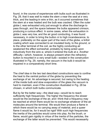found, in the course of experiences with bulbs such as illustrated in Fig. 29, that it was well to make the stem s near the seal at e very thick, and the leading-in wire *w* thin, as it occurred sometimes that the stem at *e* was heated and the bulb was cracked. Often the outer globe *L* was exhausted only just enough to allow the discharge to pass through, and the space between the bulbs appeared crmson, producing a curious effect. In some cases, when the exhaustion in globe *L* was very low, and the air good conducting, it was found necessary, in order to bring the button *m* to high incandescence, to place, preferably on the upper part of the neck of the globe, a tinfoll coating which was connected to an insulated body, to the ground, or to the other terminal of the coil, as the highly conducting air weakened the effect somewhat, probably by being acted upon inductively from the wire *w*, where it entered the bulb at *e*. Another difficulty—which, however, is always present when the refractory button is mounted in a very small bulb—existed in the construction illustrated in Fig. 29, namely, the vacuum in the bulb b would be impaired in a comparatively short time.

The chief idea in the two last described constructions was to confine the heat to the central portion of the globe by preventing the exchange of air. An advantage is secured, but owing to the heating of the inside bulb and slow evaporation of the glass the vacuum is hard to maintain, even if the construction illustrated in Fig. 28 be chosen, in which both bulbs communicate.

But by far the better way—the ideal way—would be to reach sufficiently high frequencies. The higher the frequency the slower would be the exchange of the air, and I think that a frequency may be reached at which there would be no exchange whatever of the air molecules around the terminal. We would then produce a flame in which there would be no carrying away of material, and a queer flame it would be, for it would be rigid! With such high frequencies the inertia of the particles would come into play. As the brush, or flame, would gain rigidity in virtue of the inertia of the particles, the exchange of the latter would be prevented. This would necessarily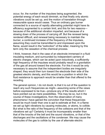occur, for, the number of the impulses being augmented, the potential energy of each would diminish, so that finally only atomic vibrations could be set up, and the motion of translation through measurable space would cease. Thus an ordinary gas burner connected to a source of rapidly alternating potential might have its efficiency augmented to a certain limit, and this for two reasons because of the additional vibration imparted, and because of a slowing down of the process of carrying off. But the renewal being rendered difficult, and renewal being necessary to maintain the *burner*, a continued increase of the frequency of the impulses, assuming they could be transmitted to and impressed upon the flame, would result in the "extinction" of the latter, meaning by this term only the cessation of the chemical process.

I think, however, that in the case of an electrode immersed in a fluid insulating medium, and surrounded by independent carriers of electric charges, which can be acted upon inductively, a sufficiently high frequency of the impulses would probably result in a gravitation of the gas all around toward the electrode. For this it would be only necessary to assume that the independent bodies are irregularly shaped; they would then turn toward the electrode their side of the greatest electric density, and this would be a position in which the fluid resistance to approach would be smaller than that offered to the receding.

The general opinion, I do not doubt, is that it is out of the question to reach any such frequencies as might—assuming some of the views before expressed to be true—produce any of the results which I have pointed out as mere possibilities. This may be so, but in the course of these investigations, from the observation of many phenomena I have gained the conviction that these frequencies would be much lower than one is apt to estimate at first. In a flame we set up light vibrations by causing molecules, or atoms, to collide. But what is the ratio of the frequency of the collisions and that of the vibrations set up? Certainly it must be incomparably smaller than that of the knocks of the bell and the sound vibrations, or that of the discharges and the oscillations of the condenser. We may cause the molecules of the gas to collide by the use of alternate electric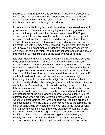impulses of high frequency, and so we may imitate the process in a flame; and from experiments with frequencies which we are now able to obtain, I think that the result is producible with impulses which are transmissible through a conductor.

In connection with thoughts of a similar nature, it appeared to me of great interest to demonstrate the rigidity of a vibrating gaseous column. Although with such low frequencies as, say 10,000 per second, which I was able to obtain without difficulty from a specially constructed alternator, the task looked discouraging at first, I made a series of experiments. The trials with air at ordinary pressure led to no result, but with air moderately rarefied I obtain what I think to be an unmistakable experimental evidence of the property sought for. As a result of this kind might lead able investigators to conclusions of importance I will describe one of the experiments performed.

It is well known that when a tube is slightly exhausted the discharge may be passed through it in the form of a thin luminous thread. When produced with currents of low frequency, obtained from a coil operated as usual, this thread is inert. If a magnet be approached to it, the part near the same is attracted or repelled, according to the direction of the lines of force of the magnet. It occurred to me that if such a thread would be produced with currents of very high frequency, it should be more or less rigid, and as it was visible it could be easily studied. Accordingly I prepared a tube about 1 inch in diameter and 1 metre long, with outside coating at each end. The tube was exhausted to a point at which by a little working the thread discharge could be obtained. It must be remarked here that the general aspect of the tube, and the degree of exhaustion, are quite different than when ordinary low frequency currents are used. As it was found preferable to work with one terminal, the tube prepared was suspended from the end of a wire connected to the terminal, the tinfoll coating being connected to the wire, and to the lower coating sometimes a small insulated plate was attached. When the thread was formed it extended through the upper part of the tube and lost itself in the lower end. If it possessed rigidity it resembled, not exactly an elastic cord stretched tight between two supports, but a cord suspended from a height with a small weight attached at the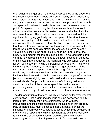end. When the finger or a magnet was approached to the upper end of the luminous thread, it could be brought locally out of position by electrostatic or magnetic action; and when the disturbing object was very quickly removed, an analogous result was produced, as though a suspended cord would be displaced and quickly released near the point of suspension. In doing this the luminous thread was set in vibration, and two very sharply marked nodes, and a third indistinct one, were formed. The vibration, once set up, continued for fully eight minutes, dying gradually out. The speed of the vibration often varied perceptibly, and it could be observed that the electrostatic attraction of the glass affected the vibrating thread; but it was clear that the electrostatic action was not the cause of the vibration, for the thread was most generally stationary, and could always be set in vibration by passing the finger quickly near the upper part of the tube. With a magnet the thread could be split in two and both parts vibrated. By approaching the hand to the lower coating of the tube, or insulated plate if attached, the vibration was quickened; also, as far as I could see, by raising the potential or frequency. Thus, either increasing the frequency or passing a stronger discharge of the same frequency corresponded to a tightening of the cord. I did not obtain any experimental evidence with condenser discharges. A luminous band excited in a bulb by repeated discharges of a Leyden jar must possess rigidity, and if deformed and suddenly released should vibrate. But probably the amount of vibrating matter is so small that in spite of the extreme speed the inertia cannot prominently assert itself. Besides, the observation in such a case is rendered extremely difficult on account of the fundamental vibration.

The demonstration of the fact—which still needs better experimental confirmation—that a vibrating gaseous column possesses rigidity, might greatly modify the views of thinkers. When with low frequencies and insignificant potentials indications of that property may be noted, how must a gaseous medum behave under the influence of enormous electrostatic stresses which may be active in the interstellar space, and which may alternate with inconceivable rapidity? The existence of such an electrostatic, rhythmically throbbing force—of a vibrating electrostatic field—would show a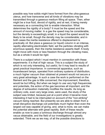possible way how solids might have formed from the ultra-gaseous uterus, and how transverse and all kinds of vibrations may be transmitted through a gaseous medium filling all space. Then, ether might be a true fluid, devoid of rigidity, and at rest, it being merely necessary as a connecting link to enable interaction. What determines the rigidity of a body? It must be the speed and the amount of moving matter. In a gas the speed may be considerable, but the density is exceedingly small; in a liquid the speed would be likely to be small, though the density may be considerable; and in both cases the inertia resistance offered to displacement is practically *nil*. But place a gaseous (or liquid) column in an intense, rapidly alternating electrostatic field, set the particles vibrating with enormous speeds, then the inertia resistance asserts itself. A body might move with more or less freedom through the vibrating mass, but as a whole it would be rigid.

There is a subject which I must mention in connection with these experiments: it is that of high vacua. This is a subject the study of which is not only interesting, but useful, for it may lead to results of great practical importance. In commercial apparatus, such as incandescent lamps, operated from ordinary systems of distribution, a much higher vacuum than obtained at present would not secure a very great advantage. In such a case the work is performed on the filament and the gas is little concerned; the improvement, therefore, would be but trifling. But when we begin to use very high frequencies and potentials, the action of the gas becomes all important, and the degree of exhaustion materially modifies the results. As long as ordinary coils, even very large ones, were used, the study of the subject was limited, because just at a point when it became most interesting it had to be interrupted on account of the "non-striking" vacuum being reached. But presently we are able to obtain from a small disruptive discharge coil potentials much higher than even the largest coil was capable of giving, and, what is more, we can make the potential alternate with great rapidity. Both of these results enable us now to pass a luminous discharge through almost any vacua obtainable, and the field of our investigations is greatly extended. Think we as we may, of all the possible directions to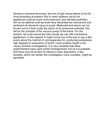develop a practical illuminant, the line of high vacua seems to be the most promising at present. But to reach extreme vacua the appliances must be much more improved, and ultimate perfection will not be attained until we shall have discarded the mechanical and perfected an *electrcal* vacuum pump. Molecules and atoms can be thrown out of a bulb under the action of an enormous potential: *this* will be the principle of the vacuum pump of the future. For the present, we must secure the best results we can with mechanical appliances. In this respect, it might not be out of the way to say a few words about the method of, and apparatus for, producing excessively high degrees of exhaustion of which I have availed myself in the course of these investigations. It is very probable that other experimenters have used similar arrangements; but as it is possible that there may be an item of interest in their description, a few remarks, which will render this investigation more complete, might be permitted.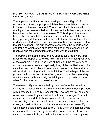FIG. 30.—APPARATUS USED FOR OBTAINING HIGH DEGREES OF EXHAUSTION.

The apparatus is illustrated in a drawing shown in Fig. 30. *S* represents a Sprengel pump, which has been specially constructed to better suit the work required. The stop-cock which is usually employed has been omitted, and instead of it a hollow stopper s has been fitted in the neck of the reservoir R. This stopper has a small hole *h*, through which the mercury descends; the size of the outlet *o* being properly determined with respect to the section of the fall tube *t*, which is sealed to the reservoir instead of being connected to it in the usual manner. This arrangement overcomes the imperfections and troubles which often arise from the use of the stopcock on the reservoir and the connection of the latter with the fall tube.

The pump is connected through a U-shaped tube *t* to a very large reservoir  $R_{\rm 1}$ . Especial care was taken in fitting the grinding surfaces of the stoppers  $\rho$  and  $\rho_1$ , and both of these and the mercury caps above them were made exceptionally long. After the U-shaped tube was fitted and put in place, it was heated, so as to soften and take off the strain resulting from imperfect fitting. The U-shaped tube was provided with a stopcock C, and two ground connections  $g$  and  $g_1$  one for a small bulb *b*, usually containing caustic potash, and the other for the receiver  $r$ , to be exhausted.

The reservoir  $\mathsf{R}_1$  was connected by means of a rubber tube to a slightly larger reservoir  $\mathcal{R}_2$ , each of the two reservoirs being provided with a stopcock  $\mathcal{C}_1$  and  $\mathcal{C}_2$ , respectively. The reservoir  $\mathcal{R}_1$  could be raised and lowered by a wheel and rack, and the range of its motion was so determined that when it was filled with mercury and the stopcock  $\mathcal{C}_2$  closed, so as to form a Torricellian vacuum in it when raised, it could be lifted so high that the mercury in reservoir  $R_1$ would stand a little above stopcock  $\boldsymbol{C}_1$ ; and when this stopcock was closed and the reservoir  $\mathcal{R}_2$  descended, so as to form a Torricellian vacuum in reservoir  $\mathcal{R}_1$ , it could be lowered so far as to completely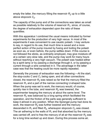empty the latter, the mercury filling the reservoir  $R_2$  up to a little above stopcock  $\mathcal{C}_2$ .

The capacity of the pump and of the connections was taken as small as possible relatively to the volume of reservoir  $R_{\rm 1}$ , since, of course, the degree of exhaustion depended upon the ratio of these quantities.

With this apparatus I combined the usual means indicated by former experiments for the production of very high vacua. In most of the experiments it was convenient to use caustic potash. I may venture to say, in regard to its use, that much time is saved and a more perfect action of the pump insured by fusing and boiling the potash as soon as, or even before, the pump settles down. If this course is not followed the sticks, as ordinarily employed, may give moisture off at a certain very slow rate, and the pump may work for many hours without reaching a very high vacuum. The potash was heated either by a spirit lamp or by passing a discharge through it, or by passing a current through a wire contained in it. The advantage in the latter case was that the heating could be more rapidly repeated.

Generally the process of exhaustion was the following:—At the start, the stop-cocks *C* and  $C_1$  being open, and all other connections closed, the reservoir  $\mathcal{R}_2$  was raised so far that the mercury filled the reservoir  $R_{\rm 1}$  and a part of the narrow connecting U-shaped tube. When the pump was set to work, the mercury would, of course, quickly rise in the tube, and reservoir  $\mathcal{R}_2$  was lowered, the experimenter keeping the mercury at about the same level. The reservoir  $\mathcal{R}_2$  was balanced by a long spring which facilitated the operation, and the friction of the parts was generally sufficient to keep it almost in any position. When the Sprengel pump had done its work, the reservoir  $\mathcal{R}_2$  was further lowered and the mercury descended in  $R_1$  and filled  $R_2$ , whereupon stopcock  $\mathcal{C}_2$  was closed. The air adhering to the walls of  $R_{\rm 1}$  and that absorbed by the mercury was carried off, and to free the mercury of all air the reservoir  $\mathsf{R}_2$  was for a long time worked up and down. During this process some air,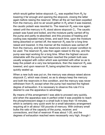which would gather below stopcock  $\mathsf{C}_2$ , was expelled from  $\mathsf{R}_2$  by lowering it far enough and opening the stopcock, closing the latter again before raising the reservoir. When all the air had been expelled from the mercury, and no air would gather in  $R_2$  when it was lowered, the caustic potash was resorted to. The reservoir  $\mathcal{R}_2$  was now again raised until the mercury in  $R_1$  stood above stopcock  $\boldsymbol{C}_1.$  The caustic potash was fused and boiled, and the moisture partly carried off by the pump and partly re-absorbed; and this process of heating and cooling was repeated many times, and each time, upon the moisture being absorbed or carried off, the reservoir  $R_2$  was for a long time raised and lowered. In this manner all the moisture was carried off from the mercury, and both the reservoirs were in proper condition to be used. The reservoir  $\mathcal{R}_2$  was then again raised to the top, and the pump was kept working for a long time. When the highest vacuum obtainable with the pump had been reached the potash bulb was usually wrapped with cotton which was sprinkled with ether so as to keep the potash at a very low temperature, then the reservoir  $R_2$  was lowered, and upon reservoir  $R_1$  being emptied the receiver *r* was quickly sealed up.

When a new bulb was put on, the mercury was always raised above stopcock  $\textsf{C}_\textup{1}$  which was closed, so as to always keep the mercury and both the reservoirs in fine condition, and the mercury was never withdrawn from  $R_{\rm 1}$  except when the pump had reached the highest degree of exhaustion. It is necessary to observe this rule if it is desired to use the apparatus to advantage.

By means of this arrangement I was able to proceed very quickly, and when the apparatus was in perfect order it was possible to reach the phosphorescent stage in a small bulb in less than 15 minutes, which is certainly very quick work for a small laboratory arrangement requiring all in all about 100 pounds of mercury. With ordinary small bulbs the ratio of the capacity of the pump, receiver, and connections, and that of reservoir *R* was about 1-20, and the degrees of exhaustion reached were necessarily very high, though I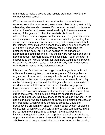am unable to make a precise and reliable statement how far the exhaustion was carried.

What impresses the investigator most in the course of these experiences is the behavior of gases when subjected to great rapidly alternating electrostatic stresses. But he must remain in doubt as to whether the effects observed are due wholly to the molecules, or atoms, of the gas which chemical analysis discloses to us, or whether there enters into play another medium of a gaseous nature, comprising atoms, or molecules, immersed in a fluid pervading the space. Such a medium surely must exist, and I am convinced that, for instance, even if air were absent, the surface and neighborhood of a body in space would be heated by rapidly alternating the potential of the body; but no such heating of the surface or neighborhood could occur if all free atoms were removed and only a homogeneous, incompressible, and elastic fluid—such as ether is supposed to be—would remain, for then there would be no impacts, no collisions. In such a case, as far as the body itself is concerned, only frictional losses in the inside could occur.

It is a striking fact that the discharge through a gas is established with ever increasing freedom as the frequency of the impulses is augmented. It behaves in this respect quite contrarily to a metallic conductor. In the latter the impedance enters prominently into play as the frequency is increased, but the gas acts much as a series of condensers would: the facility with which the discharge passes through seems to depend on the rate of change of potential. If it act so, then in a vacuum tube even of great length, and no matter how strong the current, self-induction could not assert itself to any appreciable degree. We have, then, as far as we can now see, in the gas a conductor which is capable of transmitting electric impulses of any frequency which we may be able to produce. Could the frequency be brought high enough, then a queer system of electric distribution, which would be likely to interest gas companies, might be realized: metal pipes filled with gas—the metal being the insulator, the gas the conductor—supplying phosphorescent bulbs, or perhaps devices as yet uninvented. It is certainly possible to take a hollow core of copper, rarefy the gas in the same, and by passing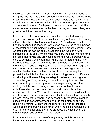impulses of sufficiently high frequency through a circuit around it, bring the gas inside to a high degree of incandescence; but as to the nature of the forces there would be considerable uncertainty, for it would be doubtful whether with such impulses the copper core would act as a static screen. Such paradoxes and apparent impossibilities we encounter at every step in this line of work, and therein lies, to a great extent, the clam of the study.

I have here a short and wide tube which is exhausted to a high degree and covered with a substantial coating of bronze, the coating allowing barely the light to shine through. A metallic clasp, with a hook for suspending the tube, is fastened around the middle portion of the latter, the clasp being in contact with the bronze coating. I now want to light the gas inside by suspending the tube on a wire connected to the coil. Any one who would try the experiment for the first time, not having any previous experience, would probably take care to be quite alone when making the trial, for fear that he might become the joke of his assistants. Still, the bulb lights in spite of the metal coating, and the light can be distinctly perceived through the latter. A long tube covered with aluminium bronze lights when held in one hand—the other touching the terminal of the coil—quite powerfully. It might be objected that the coatings are not sufficiently conducting; still, even if they were highly resistant, they ought to screen the gas. They certainly screen it perfectly in a condition of rest, but not by far perfectly when the charge is surging in the coating. But the loss of energy which occurs within the tube, not with standing the screen, is occasioned principally by the presence of the gas. Were we to take a large hollow metallic sphere and fill it with a perfect incompressible fluid dielectric, there would be no loss inside of the sphere, and consequently the inside might be considered as perfectly screened, though the potential be very rapidly alternating. Even were the sphere filled with oil, the loss would be incomparably smaller than when the fluid is replaced by a gas, for in the latter case the force produces displacements; that means impact and collisions in the inside.

No matter what the pressure of the gas may be, it becomes an important factor in the heating of a conductor when the electric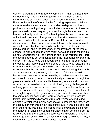density is great and the frequency very high. That in the heating of conductors by lightning discharges air is an element of great importance, is almost as certain as an experimental fact. I may illustrate the action of the air by the following experiment: I take a short tube which is exhausted to a moderate degree and has a platinum wire running through the middle from one end to the other. I pass a steady or low frequency current through the wire, and it is heated uniformly in all parts. The heating here is due to conduction, or frictional losses, and the gas around the wire has—as far as we can see—no function to perform. But now let me pass sudden discharges, or a high frequency current, through the wire. Again the wire is heated, this time principally on the ends and least in the middle portion; and if the frequency of the impulses, or the rate of change, is high enough, the wire might as well be cut in the middle as not, for practically all the heating is due to the rarefied gas. Here the gas might only act as a conductor of no impedance diverting the current from the wire as the impedance of the latter is enormously increased, and merely heating the ends of the wire by reason of their resistance to the passage of the discharge. But it is not at all necessary that the gas in the tube should he conducting; it might be at an extremely low pressure, still the ends of the wire would be heated—as, however, is ascertained by experience—only the two ends would in such, case not be electrically connected through the gaseous medium. Now what with these frequencies and potentials occurs in an exhausted tube occurs in the lightning discharges at ordinary pressure. We only need remember one of the facts arrived at in the course of these investigations, namely, that to impulses of very high frequency the gas at ordinary pressure behaves much in the same manner as though it were at moderately low pressure. I think that in lightning discharges frequently wires or conducting objects are volatilized merely because air is present and that, were the conductor immersed in an insulating liquid, it would be safe, for then the energy would have to spend itself somewhere else. From the behavior of gases to sudden impulses of high potential I am led to conclude that there can be no surer way of diverting a lightning discharge than by affording it a passage through a volume of gas, if such a thing can be done in a practical manner.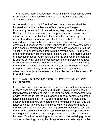There are two more features upon which I think it necessary to dwell in connection with these experiments—the "radiant state" and the "non-striking vacuum."

Any one who has studied Crookes' work must have received the impression that the "radiant state" is a property of the gas inseparably connected with an extremely high degree of exhaustion. But it should be remembered that the phenomena observed in an exhausted vessel are limited to the character and capacity of the apparatus which is made use of. I think that in a bulb a molecule, or atom, does not precisely move in a straight line because it meets no obstacle, but because the velocity imparted to it is sufficient to propel it in a sensibly straight line. The mean free path is one thing, but the velocity—the energy associated with the moving body—is another, and under ordinary circumstances I believe that it is a mere question of potential or speed. A disruptive discharge coil, when the potential is pushed very far, excites phosphorescence and projects shadows, at comparatively low degrees of exhaustion. In a lightning discharge, matter moves in straight lines as ordinary pressure when the mean free path is exceedingly small, and frequently images of wires or other metallic objects have been produced by the particles thrown off in straight lines.

#### FIG. 31.—BULB SHOWING RADIANT LIME STREAM AT LOW EXHAUSTION.

I have prepared a bulb to illustrate by an experiment the correctness of these assertions. In a globe *L* (Fig. 31) I have mounted upon a lamp filament f a piece of lime *l*. The lamp filament is connected with a wire which leads into the bulb, and the general construction of the latter is as indicated in Fig. 19, before described. The bulb being suspended from a wire connected to the terminal of the coil, and the latter being set to work, the lime piece *l* and the projecting parts of the filament *f* are bombarded. The degree of exhaustion is just such that with the potential the coil is capable of giving phosphorescence of the glass is produced, but disappears as soon as the vacuum is impaired. The lime containing moisture, and moisture being given off as soon as heating occurs, the phosphorescence lasts only for a few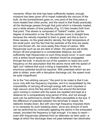moments. When the lime has been sufficiently heated, enough moisture has been given off to impair materially the vacuum of the bulb. As the bombardment goes on, one point of the lime piece is more heated than other points, and the result is that finally practically all the discharge passes through that point which is intensely heated, and a white stream of lime particles (Fig. 31) then breaks forth from that point. This stream is composed of "radiant" matter, yet the degree of exhaustion is low. But the particles move in straight lines because the velocity imparted to them is great, and this is due to three causes—to the great electric density, the high temperature of the small point, and the fact that the particles of the lime are easily torn and thrown off—far more easly than those of carbon. Wth frequencies such as we are able to obtain, the particles are bodily thrown off and projected to a considerable distance; but with sufficiently high frequencies no such thing would occur: in such case only a stress would spread or a vibration would be propagated through the bulb. It would be out of the question to reach any such frequency on the assumption that the atoms move with the speed of light; but I believe that such a thing is impossible; for this an enormous potential would be required. With potentials which we are able to obtain, even with a disruptive discharge coil, the speed must be quite insignificant.

As to the "non-striking vacuum," the point to be noted is that it can occur only with low frequency impulses, and it is necessitated by the impossibility of carrying off enough energy with such impulses in high vacuum since the few atoms which are around the terminal upon coming in contact with the same are repelled and kept at a distance for a comparatively long period of time, and not enough work can be performed to render the effect perceptible to the eye. If the difference of potential between the terminals is raised, the dielectric breaks down. But with very high frequency impulses there is no necessity for such breaking down, since any amount of work can be performed by continually agitating the atoms in the exhausted vessel, provided the frequency is high enough. It is easy to reach even with frequencies obtained from an alternator as here used—a stage at which the discharge does not pass between two electrodes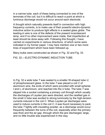in a narrow tube, each of these being connected to one of the terminals of the coil, but it is difficult to reach a point at which a luminous discharge would not occur around each electrode.

A thought which naturally presents itself in connection with high frequency currents, is to make use of their powerful electro-dynamic inductive action to produce light effects in a sealed glass globe. The leading-in wire is one of the defects of the present incandescent lamp, and if no other improvement were made, that imperfection at least should be done away with. Following this thought, I have carried on experiments in various directions, of which some were indicated in my former paper. I may here mention one or two more lines of experiment which have been followed up.

Many bulbs were constructed as shown in Fig. 32 and Fig. 33.

FIG. 32.—ELECTRO-DYNAMIC INDUCTION TUBE.

In Fig. 32 a wide tube *T* was sealed to a smaller W-shaped tube U, of phosphorescent glass. In the tube *T* was placed a col *C* of aluminium wire, the ends of which were provided with small spheres  $t$  and  $t_1$  of aluminium, and reached into the  $U$  tube. The tube  $\tau$  was slipped into a socket containing a primary coil through which usually the discharges of Leyden jars were directed, and the rarefied gas in the small *U* tube was excited to strong luminosity by the high-tension currents induced in the coil C. When Leyden jar discharges were used to induce currents in the coil C, it was found necessary to pack the tube T tightly with insulating powder, as a discharge would occur frequently between the turns of the coil, especially when the primary was thick and the air gap, through which the jars discharged, large, and no little trouble was experienced in this way.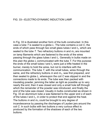#### FIG. 33—ELECTRO-DYNAMIC INDUCTION LAMP.

In Fig. 33 is illustrated another form of the bulb constructed. In this case a tube T is sealed to a globe L. The tube contains a coil C, the ends of which pass through two small glass tubes  $t$  and  $t_{\rm 1}$ , which are sealed to the tube  $\,$   $\!$  . Two refractory buttons  $m$  and  $m_{1}$  are mounted on lamp filaments which are fastened to the ends of the wires passing through the glass tubes  $t$  and  $t_1$ . Generally in bulbs made on this plan the globe *L* communicated with the tube *T*. For this purpose the ends of the small tubes  $t$  and  $t_1$  were just a trifle heated in the burner, merely to hold the wires, but not to interfere with the communication. The tube *T*, with the small tubes, wires through the same, and the refractory buttons *m* and  $m_1$ , was first prepared, and then sealed to globe *L*, whereupon the coil *C* was slipped in and the connections made to its ends. The tube was then packed with insulating powder, jamming the latter as tight as possible up to very nearly the end, then it was closed and only a small hole left through which the remainder of the powder was introduced, and finally the end of the tube was closed. Usually in bulbs constructed as shown in Fig. 33 an aluminium tube a was fastened to the upper end s of each of the tubes  $t$  and  $t_{1}$ , in order to protect that end against the heat. The buttons *m* and  $m_1$  could be brought to any degree of incandescence by passing the discharges of Leyden jars around the coil C. In such bulbs with two buttons a very curious effect is produced by the formation of the shadows of each of the two buttons.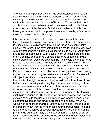Another line of experiment, which has been assiduously followed, was to induce by electro-dynamic induction a current or luminous discharge in an exhausted tube or bulb. This matter has received such able treatment at the hands of Prof. J.J. Thomson that I could add but little to what he has made known, even had I made it the special subject of this lecture. Still, since experiences in this line have gradually led me to the present views and results, a few words must be devoted here to this subject.

It has occurred, no doubt, to many that as a vacuum tube is made longer the electromotive force per unit length of the tube, necessary to pass a luminous discharge through the latter, gets continually smaller; therefore, if the exhausted tube be made long enough, even with low frequencies a luminous discharge could be induced in such a tube closed upon itself. Such a tube might be placed around a ball or on a ceiling, and at once a simple appliance capable of giving considerable light would be obtained. But this would be an appliance hard to manufacture and extremely unmanageable. It would not do to make the tube up of small lengths, because there would be wth ordinary frequencies considerable loss in the coatings, and besides, if coatings were used, it would be better to supply the current directly to the tube by connecting the coatings to a transformer. But even if all objections of such nature were removed, still, with low frequencies the light conversion itself would be inefficient, as I have before stated. In using extremely high frequencies the length of the secondary—in other words, the size of the vessel—can be reduced as far as desired, and the efficiency of the light conversion is increased, provided that means are invented for efficiently obtaining such high frequencies. Thus one is led, from theoretical and practical considerations, to the use of high frequencies, and this means high electromotive forces and small currents in the primary. When he works with condenser charges—and they are the only means up to the present known for reaching these extreme frequencies—he gets to electromotive forces of several thousands of volts per turn of the primary. He cannot multiply the electro-dynamic inductive effect by taking more turns in the primary, for he arrives at the conclusion that the best way is to work with one single turn—though he must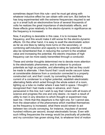sometimes depart from this rule—and he must get along with whatever inductive effect he can obtain with one turn. But before he has long experimented with the extreme frequencies required to set up in a small bulb an electromotive force of several thousands of volts he realizes the great importance of electrostatic effects, and these effects grow relatively to the electro-dynamic in significance as the frequency is increased.

Now, if anything is desirable in this case, it is to increase the frequency, and this would make it still worse for the electro-dynamic effects. On the other hand, it is easy to exalt the electrostatic action as far as one likes by taking more turns on the secondary, or combining self-induction and capacity to raise the potential. It should also be remembered that, in reducing the current to the smallest value and increasing the potential, the electric impulses of high frequency can be more easily transmitted through a conductor.

These and similar thoughts determined me to devote more attention to the electrostatic phenomena, and to endeavor to produce potentials as high as possible, and alternating as fast as they could be made to alternate. I then found that I could excite vacuum tubes at considerable distance from a conductor connected to a properly constructed coil, and that I could, by converting the oscillatory current of a condenser to a higher potential, establish electrostatic alternating fields which acted through the whole extent of a room, lighting up a tube no matter where it was held in space. I thought I recognized that I had made a step in advance, and I have persevered in this line; but I wish to say that I share with all lovers of science and progress the one and only desire—to reach a result of utility to men in any direction to which thought or experiment may lead me. I think that this departure is the right one, for I cannot see, from the observation of the phenomena which manifest themselves as the frequency is increased, what there would remain to act between two circuits conveying, for instance, impulses of several hundred millions per second, except electrostatic forces. Even with such trifling frequencies the energy would be practically all potential, and my conviction has grown strong that, to whatever kind of motion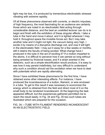light may be due, it is produced by tremendous electrostatic stresses vibrating with extreme rapidity.

Of all these phenomena observed with currents, or electric impulses, of high frequency, the most fascinating for an audience are certainly those which are noted in an electrostatic field acting through considerable distance, and the best an unskilled lecturer can do is to begin and finish with the exhibition of these singular effects. I take a tube in the hand and move it about, and it is lighted wherever I may hold it; throughout space the invisible forces act. But I may take another tube and it might not light, the vacuum being very high. I excite it by means of a disruptive discharge coil, and now it will light in the electrostatic field. I may put it away for a few weeks or months, still it retains the faculty of being excited. What change have I produced in the tube in the act of exciting it? If a motion imparted to the atoms, it is difficult to perceive how it can persist so long without being arrested by frictional losses; and if a strain exerted in the dielectric, such as a simple electrification would produce, it is easy to see how it may persist indefinitely, but very difficult to understand why such a condition should aid the excitation when we have to deal with potentials which are rapidly alternating.

Since I have exhibited these phenomena for the first time, I have obtained some other interesting effects. For instance, I have produced the incandescence of a button, filament, or wire enclosed in a tube. To get to this result it was necessary to economize the energy which is obtained from the field and direct most of it on the small body to be rendered incandescent. At the beginning the task appeared difficult, but the experiences gathered permitted me to reach the result easily. In Fig. 34 and Fig. 35 two such tubes are illustrated which are prepared for the occasion.

FIG. 34.—TUBE WITH FILAMENT RENDERED INCANDESCENT IN AN ELECTROSTATIC FIELD.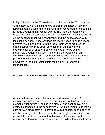In Fig. 34 a short tube  $T_{1}$ , sealed to another long tube  $T_{2}$  is provided with a stem *s*, with a platinum wire sealed in the latter. A very thin lamp filament *l* is fastened to this wire, and connection to the outside is made through a thin copper wire *w*. The tube is provided with outside and inside coatings, *C* and  $\boldsymbol{C}_1$  respectively, and is filled as far as the coatings reach with conducting, and the space above with insulating powder. These coatings are merely used to enable me to perform two experiments with the tube—namely, to produce the effect desired either by direct connection of the body of the experimenter or of another body to the wire *w*, or by acting inductively through the glass. The stem *s* is provided with an aluminium tube *a*, for purposes before explained, and only a small part of the filament reaches out of this tube. By holding the tube  $T_1$ anywhere in the electrostatic field the filament is rendered ncandescent.

## FIG. 35.—CROOKES' EXPERIMENT IN ELECTROSTATIC FIELD.

A more interesting piece of apparatus is illustrated in Fig. 35. The construction is the same as before, only instead of the lamp filament a small platinum wire p, sealed in a stem s, and bent above it in a circle, is connected to the copper wire *w*, which is joined to an inside coating *C*. A small stem  $s_1$  is provided with a needle, on the point of which is arranged to rotate very freely a very light fan of mica v. To prevent the fan from falling out, a thin stem of glass *q* is bent properly and fastened to the aluminium tube. When the glass tube is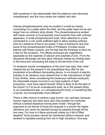held anywhere in the electrostatic field the platinum wire becomes incandescent, and the mica vanes are rotated very fast.

Intense phosphorescence may be excited in a bulb by merely connecting it to a plate within the field, and the plate need not be any larger than an ordinary lamp shade. The phosphorescence excited with these currents is incomparably more powerful than with ordinary apparatus. A small phosphorescent bulb, when attached to a wire connected to a coil, emits sufficient light to allow reading ordinary print at a distance of five to six paces. It was of interest to see how some of the phosphorescent bulbs of Professor Crookes would behave with these currents, and he has had the kindness to lend me a few for the occasion. The effects produced are magnificent, especially by the sulphide of calcium and sulphide of zinc. From the disruptive discharge coil they glow intensely merely by holding them in the hand and connecting the body to the terminal of the coil.

To whatever results investigations of this kind may lead, their chief interest lies for the present in the possibilities they offer for the production of an efficient illuminating device. In no branch of electric industry is an advance more desired than in the manufacture of light. Every thinker, when considering the barbarous methods employed, the deplorable losses incurred in our best systems of light production, must have asked himself, What is likely to be the light of the future? Is it to be an incandescent solid, as in the present lamp, or an incandescent gas, or a phosphorescent body, or something like a burner, but incomparably more efficient?

There is little chance to perfect a gas burner; not, perhaps, because human ingenuity has been bent upon that problem for centuries without a radical departure having been made—though this argument is not devoid of force-but because in a burner the higher vibrations can never be reached except by passing through all the low ones. For how is a flame produced unless by a fall of lifted weights? Such process cannot be maintained without renewal, and renewal is repeated passing from low to high vibrations. One way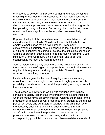only seems to be open to improve a burner, and that is by trying to reach higher degrees of incandescence. Higher incandescence is equivalent to a quicker vibration; that means more light from the same material, and that, again, means more economy. In this direction some improvements have been made, but the progress is hampered by many limitations. Discarding, then, the burner, there remain the three ways first mentioned, which are essentially electrical.

Suppose the light of the immediate future to be a solid rendered incandescent by electricity. Would it not seem that it is better to employ a small button than a frail filament? From many considerations it certainly must be concluded that a button is capable of a higher economy, assuming, of course, the difficulties connected with the operation of such a lamp to be effectively overcome. But to light such a lamp we require a high potential; and to get this economically we must use high frequencies.

Such considerations apply even more to the production of light by the incandescence of a gas, or by phosphorescence. In all cases we require high frequencies and high potentials. These thoughts occurred to me a long time ago.

Incidentally we gain, by the use of very high frequencies, many advantages, such as a higher economy in the light production, the possibility of working with one lead, the possibility of doing away with the leading-in wire, etc.

The question is, how far can we go with frequencies? Ordinary conductors rapidly lose the facility of transmitting electric impulses when the frequency is greatly increased. Assume the means for the production of impulses of very great frequency brought to the utmost perfection, every one will naturally ask how to transmit them when the necessity arises. In transmitting such impulses through conductors we must remember that we have to deal wth *pressure* and *flow*, in the ordinary interpretation of these terms. Let the pressure increase to an enormous value, and let the flow correspondingly diminish, then such impulses—variations merely of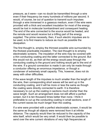pressure, as it were—can no doubt be transmitted through a wire even if their frequency be many hundreds of millions per second. It would, of course, be out of question to transmit such impulses through a wire immersed in a gaseous medium, even if the wire were provided with a thick and excellent insulation for most of the energy would be lost in molecular bombardment and consequent heating. The end of the wire connected to the source would be heated, and the remote end would receive but a trifling part of the energy supplied. The prime necessity, then, if such electric impulses are to be used, is to find means to reduce as much as possible the dissipation.

The first thought is, employ the thinnest possible wire surrounded by the thickest practicable insulation. The next thought is to employ electrostatic screens. The insulation of the wire may be covered with a thin conducting coating and the latter connected to the ground. But this would not do, as then all the energy would pass through the conducting coating to the ground and nothing would get to the end of the wire. If a ground connection is made it can only be made through a conductor offering an enormous impedance, or though a condenser of extremely small capacity. This, however, does not do away with other difficulties.

If the wave length of the impulses is much smaller than the length of the wire, then corresponding short waves will be sent up in the conducting coating, and it will be more or less the same as though the coating were directly connected to earth. It is therefore necessary to cut up the coating in sections much shorter than the wave length. Such an arrangement does not still afford a perfect screen, but it is ten thousand times better than none. I think it preferable to cut up the conducting coating in small sections, even if the current waves be much longer than the coating.

If a wire were provided with a perfect electrostatic screen, it would be the same as though all objects were removed from it at infinite distance. The capacity would then be reduced to the capacity of the wire itself, which would be very small. It would then be possible to send over the wire current vibrations of very high frequencies at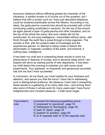enormous distance without affecting greatly the character of the vibrations. A perfect screen is of course out of the question, but I believe that with a screen such as I have just described telephony could be rendered practicable across the Atlantic. According to my ideas, the gutta-percha covered wire should be provided with a third conducting coating subdivided in sections. On the top of this should be again placed a layer of gutta-percha and other insulation, and on the top of the whole the armor. But such cables wll not be constructed, for ere long intelligence—transmitted without wires—will throb through the earth like a pulse through a living organism. The wonder is that, with the present state of knowledge and the experiences gained, no attempt is being made to disturb the electrostatic or magnetic condition of the earth, and transmit, if nothing else, intelligence.

It has been my chief aim in presenting these results to point out phenomena or features of novelty, and to advance ideas which I am hopeful will serve as starting points of new departures. It has been my chief desire this evening to entertain you with some novel experments. Your applause, so frequently and generously accorded, has told me that I have succeeded.

In conclusion, let me thank you most heartily for your kindness and attention, and assure you that the honor I have had in addressing such a distinguished audience, the pleasure I have had in presenting these results to a gathering of so many able men—and among them also some of those in whose work for many years past I have found enlightenment and constant pleasure—I shall never forget.

| Transcriber's | Corrected the following typesetting errors:         |
|---------------|-----------------------------------------------------|
| note:         | 1) 'preceived' to 'perceived', page 16.             |
|               | 2) 'disharging' to 'discharging', page 30.          |
|               | 3) 'park' to 'spark', page 33.                      |
|               | 4) 'pssition' to 'position', page 50.               |
|               | 5) 'to th opposite side' to 'to the opposite side', |
|               |                                                     |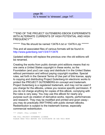page 56. 6) 's resses' to 'stresses', page 147.

\*\*\*END OF THE PROJECT GUTENBERG EBOOK EXPERIMENTS WITH ALTERNATE CURRENTS OF HIGH POTENTIAL AND HIGH FREQUENCY\*\*\*

\*\*\*\*\*\*\*\* This file should be named 13476-h.txt or 13476-h.zip \*\*\*\*\*\*\*\*

This and all associated files of various formats will be found in: <http://www.gutenberg.net/1/3/4/7/13476>

Updated editions will replace the previous one--the old editions will be renamed.

Creating the works from public domain print editions means that no one owns a United States copyright in these works, so the Foundation (and you!) can copy and distribute it in the United States without permission and without paying copyright royalties. Special rules, set forth in the General Terms of Use part of this license, apply to copying and distributing Project Gutenberg-tm electronic works to protect the PROJECT GUTENBERG-tm concept and trademark. Project Gutenberg is a registered trademark, and may not be used if you charge for the eBooks, unless you receive specific permission. If you do not charge anything for copies of this eBook, complying with the rules is very easy. You may use this eBook for nearly any purpose such as creation of derivative works, reports, performances and research. They may be modified and printed and given away-you may do practically ANYTHING with public domain eBooks. Redistribution is subject to the trademark license, especially commercial redistribution.

\*\*\* START: FULL LICENSE \*\*\* THE FULL PROJECT GUTENBERG LICENSE PLEASE READ THIS BEFORE YOU DISTRIBUTE OR USE THIS WORK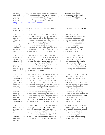To protect the Project Gutenberg-tm mission of promoting the free distribution of electronic works, by using or distributing this work (or any other work associated in any way with the phrase "Project Gutenberg"), you agree to comply with all the terms of the Full Project Gutenberg-tm License (available with this file or online at [http://gutenberg.net/license\).](http://gutenberg.net/license)

Section 1. General Terms of Use and Redistributing Project Gutenberg-tm electronic works

1.A. By reading or using any part of this Project Gutenberg-tm electronic work, you indicate that you have read, understand, agree to and accept all the terms of this license and intellectual property (trademark/copyright) agreement. If you do not agree to abide by all the terms of this agreement, you must cease using and return or destroy all copies of Project Gutenberg-tm electronic works in your possession. If you paid a fee for obtaining a copy of or access to a Project Gutenberg-tm electronic work and you do not agree to be bound by the terms of this agreement, you may obtain a refund from the person or entity to whom you paid the fee as set forth in paragraph 1.E.8.

1.B. "Project Gutenberg" is a registered trademark. It may only be used on or associated in any way with an electronic work by people who agree to be bound by the terms of this agreement. There are a few things that you can do with most Project Gutenberg-tm electronic works even without complying with the full terms of this agreement. See paragraph 1.C below. There are a lot of things you can do with Project Gutenberg-tm electronic works if you follow the terms of this agreement and help preserve free future access to Project Gutenberg-tm electronic works. See paragraph 1.E below.

1.C. The Project Gutenberg Literary Archive Foundation ("the Foundation" or PGLAF), owns a compilation copyright in the collection of Project Gutenberg-tm electronic works. Nearly all the individual works in the collection are in the public domain in the United States. If an individual work is in the public domain in the United States and you are located in the United States, we do not claim a right to prevent you from copying, distributing, performing, displaying or creating derivative works based on the work as long as all references to Project Gutenberg are removed. Of course, we hope that you will support the Project Gutenberg-tm mission of promoting free access to electronic works by freely sharing Project Gutenberg-tm works in compliance with the terms of this agreement for keeping the Project Gutenberg-tm name associated with the work. You can easily comply with the terms of this agreement by keeping this work in the same format with its attached full Project Gutenberg-tm License when you share it without charge with others.

1.D. The copyright laws of the place where you are located also govern what you can do with this work. Copyright laws in most countries are in a constant state of change. If you are outside the United States, check the laws of your country in addition to the terms of this agreement before downloading, copying, displaying, performing, distributing or creating derivative works based on this work or any other Project Gutenberg-tm work. The Foundation makes no representations concerning the copyright status of any work in any country outside the United States.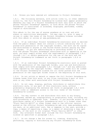1.E. Unless you have removed all references to Project Gutenberg:

1.E.1. The following sentence, with active links to, or other immediate access to, the full Project Gutenberg-tm License must appear prominently whenever any copy of a Project Gutenberg-tm work (any work on which the phrase "Project Gutenberg" appears, or with which the phrase "Project Gutenberg" is associated) is accessed, displayed, performed, viewed, copied or distributed:

This eBook is for the use of anyone anywhere at no cost and with almost no restrictions whatsoever. You may copy it, give it away or re-use it under the terms of the Project Gutenberg License included with this eBook or online at www.gutenberg.net

1.E.2. If an individual Project Gutenberg-tm electronic work is derived from the public domain (does not contain a notice indicating that it is posted with permission of the copyright holder), the work can be copied and distributed to anyone in the United States without paying any fees or charges. If you are redistributing or providing access to a work with the phrase "Project Gutenberg" associated with or appearing on the work, you must comply either with the requirements of paragraphs 1.E.1 through 1.E.7 or obtain permission for the use of the work and the Project Gutenberg-tm trademark as set forth in paragraphs 1.E.8 or 1.E.9.

1.E.3. If an individual Project Gutenberg-tm electronic work is posted with the permission of the copyright holder, your use and distribution must comply with both paragraphs 1.E.1 through 1.E.7 and any additional terms imposed by the copyright holder. Additional terms will be linked to the Project Gutenberg-tm License for all works posted with the permission of the copyright holder found at the beginning of this work.

1.E.4. Do not unlink or detach or remove the full Project Gutenberg-tm License terms from this work, or any files containing a part of this work or any other work associated with Project Gutenberg-tm.

1.E.5. Do not copy, display, perform, distribute or redistribute this electronic work, or any part of this electronic work, without prominently displaying the sentence set forth in paragraph 1.E.1 with active links or immediate access to the full terms of the Project Gutenberg-tm License.

1.E.6. You may convert to and distribute this work in any binary, compressed, marked up, nonproprietary or proprietary form, including any word processing or hypertext form. However, if you provide access to or distribute copies of a Project Gutenberg-tm work in a format other than "Plain Vanilla ASCII" or other format used in the official version posted on the official Project Gutenberg-tm web site (www.gutenberg.net), you must, at no additional cost, fee or expense to the user, provide a copy, a means of exporting a copy, or a means of obtaining a copy upon request, of the work in its original "Plain Vanilla ASCII" or other form. Any alternate format must include the full Project Gutenberg-tm License as specified in paragraph 1.E.1.

1.E.7. Do not charge a fee for access to, viewing, displaying, performing, copying or distributing any Project Gutenberg-tm works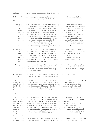unless you comply with paragraph 1.E.8 or 1.E.9.

1.E.8. You may charge a reasonable fee for copies of or providing access to or distributing Project Gutenberg-tm electronic works provided that

- You pay a royalty fee of 20% of the gross profits you derive from the use of Project Gutenberg-tm works calculated using the method you already use to calculate your applicable taxes. The fee is owed to the owner of the Project Gutenberg-tm trademark, but he has agreed to donate royalties under this paragraph to the Project Gutenberg Literary Archive Foundation. Royalty payments must be paid within 60 days following each date on which you prepare (or are legally required to prepare) your periodic tax returns. Royalty payments should be clearly marked as such and sent to the Project Gutenberg Literary Archive Foundation at the address specified in Section 4, "Information about donations to the Project Gutenberg Literary Archive Foundation."
- You provide a full refund of any money paid by a user who notifies you in writing (or by e-mail) within 30 days of receipt that s/he does not agree to the terms of the full Project Gutenberg-tm License. You must require such a user to return or destroy all copies of the works possessed in a physical medium and discontinue all use of and all access to other copies of Project Gutenberg-tm works.
- You provide, in accordance with paragraph 1.F.3, a full refund of any money paid for a work or a replacement copy, if a defect in the electronic work is discovered and reported to you within 90 days of receipt of the work.
- You comply with all other terms of this agreement for free distribution of Project Gutenberg-tm works.

1.E.9. If you wish to charge a fee or distribute a Project Gutenberg-tm electronic work or group of works on different terms than are set forth in this agreement, you must obtain permission in writing from both the Project Gutenberg Literary Archive Foundation and Michael Hart, the owner of the Project Gutenberg-tm trademark. Contact the Foundation as set forth in Section 3 below.

1.F.

1.F.1. Project Gutenberg volunteers and employees expend considerable effort to identify, do copyright research on, transcribe and proofread public domain works in creating the Project Gutenberg-tm collection. Despite these efforts, Project Gutenberg-tm electronic works, and the medium on which they may be stored, may contain "Defects," such as, but not limited to, incomplete, inaccurate or corrupt data, transcription errors, a copyright or other intellectual property infringement, a defective or damaged disk or other medium, a computer virus, or computer codes that damage or cannot be read by your equipment.

1.F.2. LIMITED WARRANTY, DISCLAIMER OF DAMAGES - Except for the "Right of Replacement or Refund" described in paragraph 1.F.3, the Project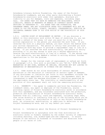Gutenberg Literary Archive Foundation, the owner of the Project Gutenberg-tm trademark, and any other party distributing a Project Gutenberg-tm electronic work under this agreement, disclaim all liability to you for damages, costs and expenses, including legal fees. YOU AGREE THAT YOU HAVE NO REMEDIES FOR NEGLIGENCE, STRICT LIABILITY, BREACH OF WARRANTY OR BREACH OF CONTRACT EXCEPT THOSE PROVIDED IN PARAGRAPH F3. YOU AGREE THAT THE FOUNDATION, THE TRADEMARK OWNER, AND ANY DISTRIBUTOR UNDER THIS AGREEMENT WILL NOT BE LIABLE TO YOU FOR ACTUAL, DIRECT, INDIRECT, CONSEQUENTIAL, PUNITIVE OR INCIDENTAL DAMAGES EVEN IF YOU GIVE NOTICE OF THE POSSIBILITY OF SUCH DAMAGE.

1.F.3. LIMITED RIGHT OF REPLACEMENT OR REFUND - If you discover a defect in this electronic work within 90 days of receiving it, you can receive a refund of the money (if any) you paid for it by sending a written explanation to the person you received the work from. If you received the work on a physical medium, you must return the medium with your written explanation. The person or entity that provided you with the defective work may elect to provide a replacement copy in lieu of a refund. If you received the work electronically, the person or entity providing it to you may choose to give you a second opportunity to receive the work electronically in lieu of a refund. If the second copy is also defective, you may demand a refund in writing without further opportunities to fix the problem.

1.F.4. Except for the limited right of replacement or refund set forth in paragraph 1.F.3, this work is provided to you 'AS-IS,' WITH NO OTHER WARRANTIES OF ANY KIND, EXPRESS OR IMPLIED, INCLUDING BUT NOT LIMITED TO WARRANTIES OF MERCHANTIBILITY OR FITNESS FOR ANY PURPOSE.

1.F.5. Some states do not allow disclaimers of certain implied warranties or the exclusion or limitation of certain types of damages. If any disclaimer or limitation set forth in this agreement violates the law of the state applicable to this agreement, the agreement shall be interpreted to make the maximum disclaimer or limitation permitted by the applicable state law. The invalidity or unenforceability of any provision of this agreement shall not void the remaining provisions.

1.F.6. INDEMNITY - You agree to indemnify and hold the Foundation, the trademark owner, any agent or employee of the Foundation, anyone providing copies of Project Gutenberg-tm electronic works in accordance with this agreement, and any volunteers associated with the production, promotion and distribution of Project Gutenberg-tm electronic works, harmless from all liability, costs and expenses, including legal fees, that arise directly or indirectly from any of the following which you do or cause to occur: (a) distribution of this or any Project Gutenberg-tm work, (b) alteration, modification, or additions or deletions to any Project Gutenberg-tm work, and (c) any Defect you cause.

Section 2. Information about the Mission of Project Gutenberg-tm

Project Gutenberg-tm is synonymous with the free distribution of electronic works in formats readable by the widest variety of computers including obsolete, old, middle-aged and new computers. It exists because of the efforts of hundreds of volunteers and donations from people in all walks of life.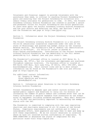Volunteers and financial support to provide volunteers with the assistance they need, is critical to reaching Project Gutenberg-tm's goals and ensuring that the Project Gutenberg-tm collection will remain freely available for generations to come. In 2001, the Project Gutenberg Literary Archive Foundation was created to provide a secure and permanent future for Project Gutenberg-tm and future generations. To learn more about the Project Gutenberg Literary Archive Foundation and how your efforts and donations can help, see Sections 3 and 4 and the Foundation web page at http://www.pglaf.org.

Section 3. Information about the Project Gutenberg Literary Archive Foundation

The Project Gutenberg Literary Archive Foundation is a non profit 501(c)(3) educational corporation organized under the laws of the state of Mississippi and granted tax exempt status by the Internal Revenue Service. The Foundation's EIN or federal tax identification number is 64-6221541. Its 501(c)(3) letter is posted at http://pglaf.org/fundraising. Contributions to the Project Gutenberg Literary Archive Foundation are tax deductible to the full extent permitted by U.S. federal laws and your state's laws.

The Foundation's principal office is located at 4557 Melan Dr. S. Fairbanks, AK, 99712., but its volunteers and employees are scattered throughout numerous locations. Its business office is located at 809 North 1500 West, Salt Lake City, UT 84116, (801) 596-1887, email business@pglaf.org. Email contact links and up to date contact information can be found at the Foundation's web site and official page at http://pglaf.org

For additional contact information: Dr. Gregory B. Newby Chief Executive and Director gbnewby@pglaf.org

Section 4. Information about Donations to the Project Gutenberg Literary Archive Foundation

Project Gutenberg-tm depends upon and cannot survive without wide spread public support and donations to carry out its mission of increasing the number of public domain and licensed works that can be freely distributed in machine readable form accessible by the widest array of equipment including outdated equipment. Many small donations (\$1 to \$5,000) are particularly important to maintaining tax exempt status with the IRS.

The Foundation is committed to complying with the laws regulating charities and charitable donations in all 50 states of the United States. Compliance requirements are not uniform and it takes a considerable effort, much paperwork and many fees to meet and keep up with these requirements. We do not solicit donations in locations where we have not received written confirmation of compliance. To SEND DONATIONS or determine the status of compliance for any particular state visit http://pglaf.org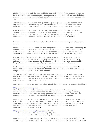While we cannot and do not solicit contributions from states where we have not met the solicitation requirements, we know of no prohibition against accepting unsolicited donations from donors in such states who approach us with offers to donate.

International donations are gratefully accepted, but we cannot make any statements concerning tax treatment of donations received from outside the United States. U.S. laws alone swamp our small staff.

Please check the Project Gutenberg Web pages for current donation methods and addresses. Donations are accepted in a number of other ways including including checks, online payments and credit card donations. To donate, please visit: http://pglaf.org/donate

Section 5. General Information About Project Gutenberg-tm electronic works.

Professor Michael S. Hart is the originator of the Project Gutenberg-tm concept of a library of electronic works that could be freely shared with anyone. For thirty years, he produced and distributed Project Gutenberg-tm eBooks with only a loose network of volunteer support.

Project Gutenberg-tm eBooks are often created from several printed editions, all of which are confirmed as Public Domain in the U.S. unless a copyright notice is included. Thus, we do not necessarily keep eBooks in compliance with any particular paper edition.

Each eBook is in a subdirectory of the same number as the eBook's eBook number, often in several formats including plain vanilla ASCII, compressed (zipped), HTML and others.

Corrected EDITIONS of our eBooks replace the old file and take over the old filename and etext number. The replaced older file is renamed. VERSIONS based on separate sources are treated as new eBooks receiving new filenames and etext numbers.

Most people start at our Web site which has the main PG search facility:

## [http://www.gutenberg.net](http://www.gutenberg.net/)

This Web site includes information about Project Gutenberg-tm, including how to make donations to the Project Gutenberg Literary Archive Foundation, how to help produce our new eBooks, and how to subscribe to our email newsletter to hear about new eBooks.

EBooks posted prior to November 2003, with eBook numbers BELOW #10000, are filed in directories based on their release date. If you want to download any of these eBooks directly, rather than using the regular search system you may utilize the following addresses and just download by the etext year.

<http://www.ibiblio.org/gutenberg/etext06> (Or /etext 05, 04, 03, 02, 01, 00, 99, 98, 97, 96, 95, 94, 93, 92, 92, 91 or 90)

EBooks posted since November 2003, with etext numbers OVER #10000, are filed in a different way. The year of a release date is no longer part